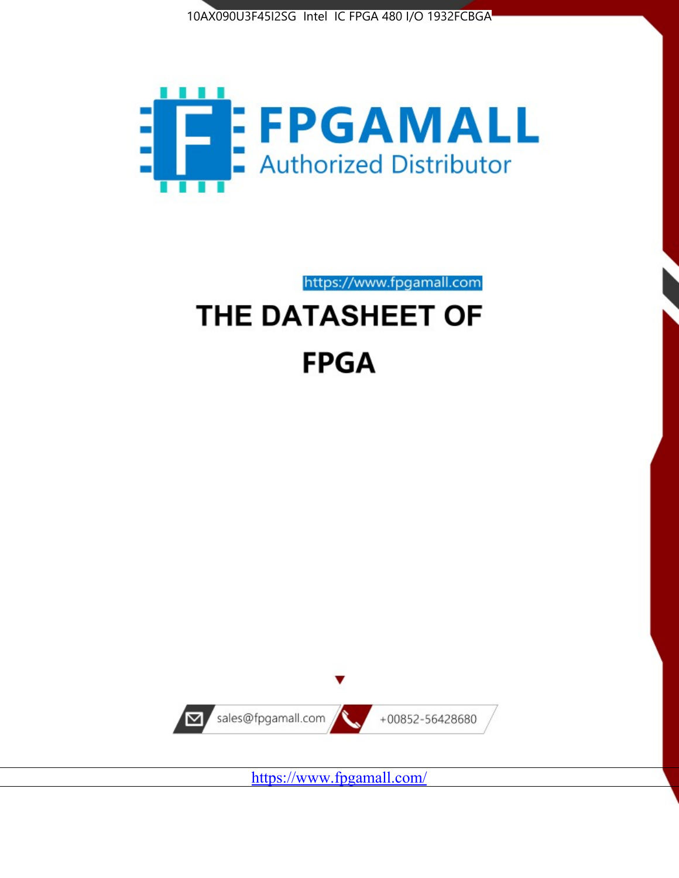



https://www.fpgamall.com

# THE DATASHEET OF **FPGA**



<https://www.fpgamall.com/>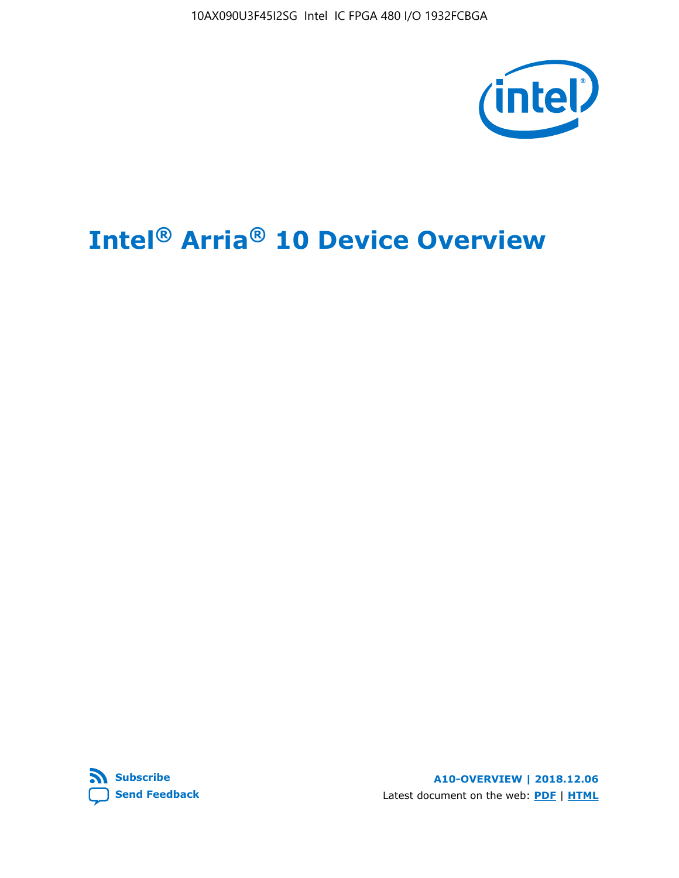10AX090U3F45I2SG Intel IC FPGA 480 I/O 1932FCBGA



# **Intel® Arria® 10 Device Overview**



**A10-OVERVIEW | 2018.12.06** Latest document on the web: **[PDF](https://www.intel.com/content/dam/www/programmable/us/en/pdfs/literature/hb/arria-10/a10_overview.pdf)** | **[HTML](https://www.intel.com/content/www/us/en/programmable/documentation/sam1403480274650.html)**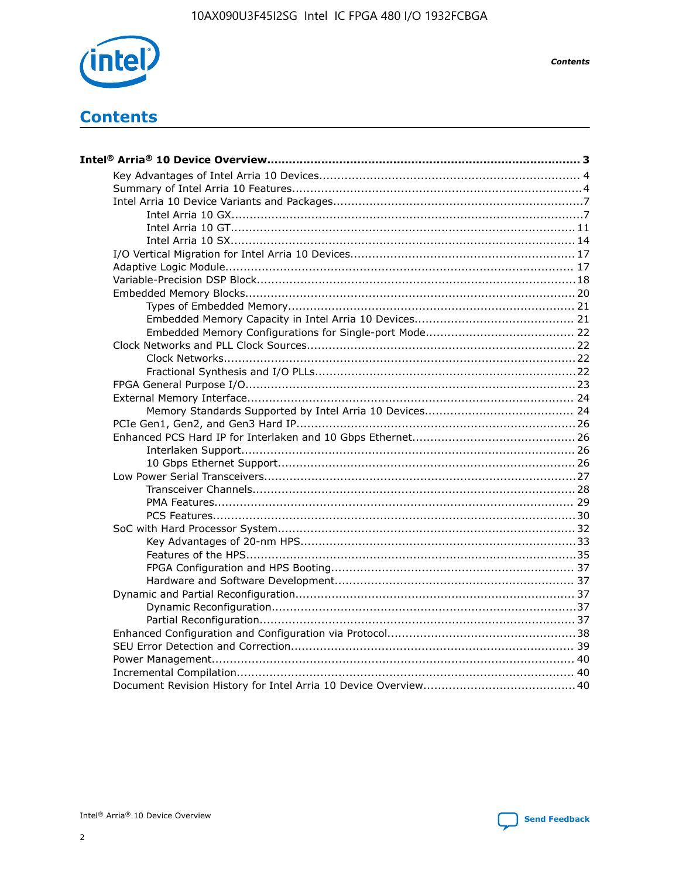

**Contents** 

# **Contents**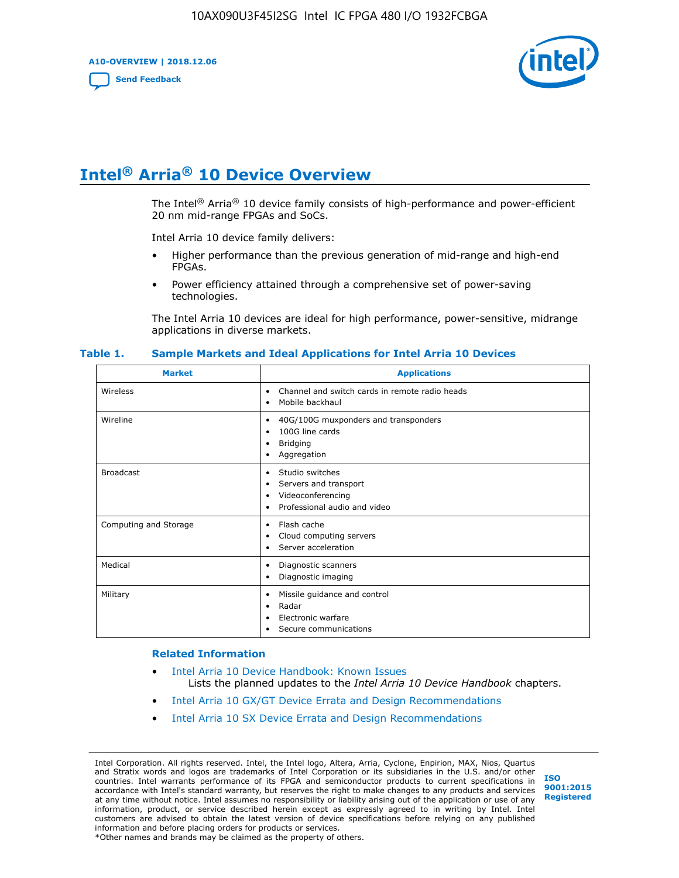**A10-OVERVIEW | 2018.12.06**

**[Send Feedback](mailto:FPGAtechdocfeedback@intel.com?subject=Feedback%20on%20Intel%20Arria%2010%20Device%20Overview%20(A10-OVERVIEW%202018.12.06)&body=We%20appreciate%20your%20feedback.%20In%20your%20comments,%20also%20specify%20the%20page%20number%20or%20paragraph.%20Thank%20you.)**



# **Intel® Arria® 10 Device Overview**

The Intel<sup>®</sup> Arria<sup>®</sup> 10 device family consists of high-performance and power-efficient 20 nm mid-range FPGAs and SoCs.

Intel Arria 10 device family delivers:

- Higher performance than the previous generation of mid-range and high-end FPGAs.
- Power efficiency attained through a comprehensive set of power-saving technologies.

The Intel Arria 10 devices are ideal for high performance, power-sensitive, midrange applications in diverse markets.

| <b>Market</b>         | <b>Applications</b>                                                                                               |
|-----------------------|-------------------------------------------------------------------------------------------------------------------|
| Wireless              | Channel and switch cards in remote radio heads<br>٠<br>Mobile backhaul<br>٠                                       |
| Wireline              | 40G/100G muxponders and transponders<br>٠<br>100G line cards<br>٠<br><b>Bridging</b><br>٠<br>Aggregation<br>٠     |
| <b>Broadcast</b>      | Studio switches<br>٠<br>Servers and transport<br>٠<br>Videoconferencing<br>٠<br>Professional audio and video<br>٠ |
| Computing and Storage | Flash cache<br>٠<br>Cloud computing servers<br>٠<br>Server acceleration<br>٠                                      |
| Medical               | Diagnostic scanners<br>٠<br>Diagnostic imaging<br>٠                                                               |
| Military              | Missile guidance and control<br>٠<br>Radar<br>٠<br>Electronic warfare<br>٠<br>Secure communications<br>٠          |

#### **Table 1. Sample Markets and Ideal Applications for Intel Arria 10 Devices**

#### **Related Information**

- [Intel Arria 10 Device Handbook: Known Issues](http://www.altera.com/support/kdb/solutions/rd07302013_646.html) Lists the planned updates to the *Intel Arria 10 Device Handbook* chapters.
- [Intel Arria 10 GX/GT Device Errata and Design Recommendations](https://www.intel.com/content/www/us/en/programmable/documentation/agz1493851706374.html#yqz1494433888646)
- [Intel Arria 10 SX Device Errata and Design Recommendations](https://www.intel.com/content/www/us/en/programmable/documentation/cru1462832385668.html#cru1462832558642)

Intel Corporation. All rights reserved. Intel, the Intel logo, Altera, Arria, Cyclone, Enpirion, MAX, Nios, Quartus and Stratix words and logos are trademarks of Intel Corporation or its subsidiaries in the U.S. and/or other countries. Intel warrants performance of its FPGA and semiconductor products to current specifications in accordance with Intel's standard warranty, but reserves the right to make changes to any products and services at any time without notice. Intel assumes no responsibility or liability arising out of the application or use of any information, product, or service described herein except as expressly agreed to in writing by Intel. Intel customers are advised to obtain the latest version of device specifications before relying on any published information and before placing orders for products or services. \*Other names and brands may be claimed as the property of others.

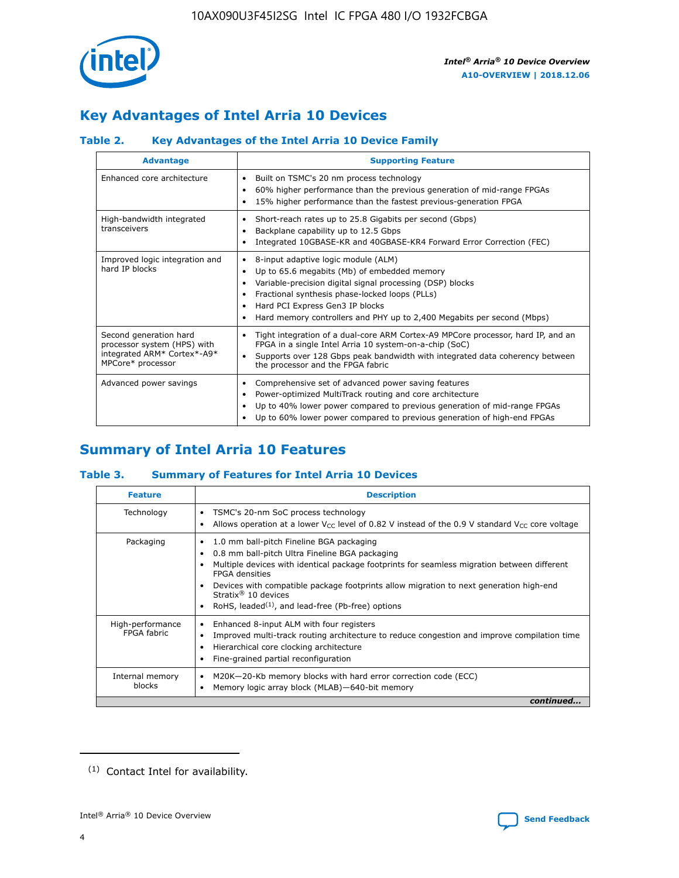

# **Key Advantages of Intel Arria 10 Devices**

## **Table 2. Key Advantages of the Intel Arria 10 Device Family**

| <b>Advantage</b>                                                                                          | <b>Supporting Feature</b>                                                                                                                                                                                                                                                                                                |
|-----------------------------------------------------------------------------------------------------------|--------------------------------------------------------------------------------------------------------------------------------------------------------------------------------------------------------------------------------------------------------------------------------------------------------------------------|
| Enhanced core architecture                                                                                | Built on TSMC's 20 nm process technology<br>٠<br>60% higher performance than the previous generation of mid-range FPGAs<br>٠<br>15% higher performance than the fastest previous-generation FPGA<br>٠                                                                                                                    |
| High-bandwidth integrated<br>transceivers                                                                 | Short-reach rates up to 25.8 Gigabits per second (Gbps)<br>٠<br>Backplane capability up to 12.5 Gbps<br>٠<br>Integrated 10GBASE-KR and 40GBASE-KR4 Forward Error Correction (FEC)<br>٠                                                                                                                                   |
| Improved logic integration and<br>hard IP blocks                                                          | 8-input adaptive logic module (ALM)<br>٠<br>Up to 65.6 megabits (Mb) of embedded memory<br>٠<br>Variable-precision digital signal processing (DSP) blocks<br>Fractional synthesis phase-locked loops (PLLs)<br>Hard PCI Express Gen3 IP blocks<br>Hard memory controllers and PHY up to 2,400 Megabits per second (Mbps) |
| Second generation hard<br>processor system (HPS) with<br>integrated ARM* Cortex*-A9*<br>MPCore* processor | Tight integration of a dual-core ARM Cortex-A9 MPCore processor, hard IP, and an<br>٠<br>FPGA in a single Intel Arria 10 system-on-a-chip (SoC)<br>Supports over 128 Gbps peak bandwidth with integrated data coherency between<br>$\bullet$<br>the processor and the FPGA fabric                                        |
| Advanced power savings                                                                                    | Comprehensive set of advanced power saving features<br>٠<br>Power-optimized MultiTrack routing and core architecture<br>٠<br>Up to 40% lower power compared to previous generation of mid-range FPGAs<br>٠<br>Up to 60% lower power compared to previous generation of high-end FPGAs<br>٠                               |

# **Summary of Intel Arria 10 Features**

## **Table 3. Summary of Features for Intel Arria 10 Devices**

| <b>Feature</b>                  | <b>Description</b>                                                                                                                                                                                                                                                                                                                                                                                       |
|---------------------------------|----------------------------------------------------------------------------------------------------------------------------------------------------------------------------------------------------------------------------------------------------------------------------------------------------------------------------------------------------------------------------------------------------------|
| Technology                      | TSMC's 20-nm SoC process technology<br>٠<br>Allows operation at a lower $V_{\text{CC}}$ level of 0.82 V instead of the 0.9 V standard $V_{\text{CC}}$ core voltage                                                                                                                                                                                                                                       |
| Packaging                       | 1.0 mm ball-pitch Fineline BGA packaging<br>0.8 mm ball-pitch Ultra Fineline BGA packaging<br>Multiple devices with identical package footprints for seamless migration between different<br><b>FPGA</b> densities<br>Devices with compatible package footprints allow migration to next generation high-end<br>Stratix $\mathcal{R}$ 10 devices<br>RoHS, leaded $(1)$ , and lead-free (Pb-free) options |
| High-performance<br>FPGA fabric | Enhanced 8-input ALM with four registers<br>٠<br>Improved multi-track routing architecture to reduce congestion and improve compilation time<br>Hierarchical core clocking architecture<br>Fine-grained partial reconfiguration                                                                                                                                                                          |
| Internal memory<br>blocks       | M20K-20-Kb memory blocks with hard error correction code (ECC)<br>Memory logic array block (MLAB)-640-bit memory                                                                                                                                                                                                                                                                                         |
|                                 | continued                                                                                                                                                                                                                                                                                                                                                                                                |



<sup>(1)</sup> Contact Intel for availability.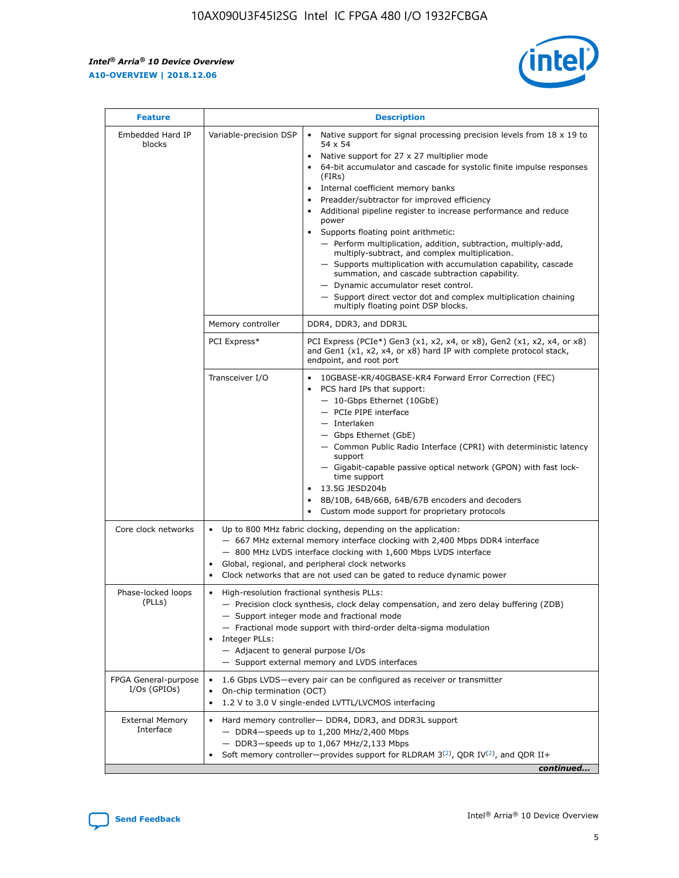r



| <b>Feature</b>                         |                                                                                                                | <b>Description</b>                                                                                                                                                                                                                                                                                                                                                                                                                                                                                                                                                                                                                                                                                                                                                                                                                     |
|----------------------------------------|----------------------------------------------------------------------------------------------------------------|----------------------------------------------------------------------------------------------------------------------------------------------------------------------------------------------------------------------------------------------------------------------------------------------------------------------------------------------------------------------------------------------------------------------------------------------------------------------------------------------------------------------------------------------------------------------------------------------------------------------------------------------------------------------------------------------------------------------------------------------------------------------------------------------------------------------------------------|
| Embedded Hard IP<br>blocks             | Variable-precision DSP                                                                                         | Native support for signal processing precision levels from $18 \times 19$ to<br>54 x 54<br>Native support for 27 x 27 multiplier mode<br>64-bit accumulator and cascade for systolic finite impulse responses<br>(FIRs)<br>Internal coefficient memory banks<br>$\bullet$<br>Preadder/subtractor for improved efficiency<br>Additional pipeline register to increase performance and reduce<br>power<br>Supports floating point arithmetic:<br>- Perform multiplication, addition, subtraction, multiply-add,<br>multiply-subtract, and complex multiplication.<br>- Supports multiplication with accumulation capability, cascade<br>summation, and cascade subtraction capability.<br>- Dynamic accumulator reset control.<br>- Support direct vector dot and complex multiplication chaining<br>multiply floating point DSP blocks. |
|                                        | Memory controller                                                                                              | DDR4, DDR3, and DDR3L                                                                                                                                                                                                                                                                                                                                                                                                                                                                                                                                                                                                                                                                                                                                                                                                                  |
|                                        | PCI Express*                                                                                                   | PCI Express (PCIe*) Gen3 (x1, x2, x4, or x8), Gen2 (x1, x2, x4, or x8)<br>and Gen1 (x1, x2, x4, or x8) hard IP with complete protocol stack,<br>endpoint, and root port                                                                                                                                                                                                                                                                                                                                                                                                                                                                                                                                                                                                                                                                |
|                                        | Transceiver I/O                                                                                                | 10GBASE-KR/40GBASE-KR4 Forward Error Correction (FEC)<br>PCS hard IPs that support:<br>$\bullet$<br>- 10-Gbps Ethernet (10GbE)<br>- PCIe PIPE interface<br>$-$ Interlaken<br>- Gbps Ethernet (GbE)<br>- Common Public Radio Interface (CPRI) with deterministic latency<br>support<br>- Gigabit-capable passive optical network (GPON) with fast lock-<br>time support<br>13.5G JESD204b<br>$\bullet$<br>8B/10B, 64B/66B, 64B/67B encoders and decoders<br>Custom mode support for proprietary protocols                                                                                                                                                                                                                                                                                                                               |
| Core clock networks                    | $\bullet$<br>$\bullet$                                                                                         | Up to 800 MHz fabric clocking, depending on the application:<br>- 667 MHz external memory interface clocking with 2,400 Mbps DDR4 interface<br>- 800 MHz LVDS interface clocking with 1,600 Mbps LVDS interface<br>Global, regional, and peripheral clock networks<br>Clock networks that are not used can be gated to reduce dynamic power                                                                                                                                                                                                                                                                                                                                                                                                                                                                                            |
| Phase-locked loops<br>(PLLs)           | High-resolution fractional synthesis PLLs:<br>$\bullet$<br>Integer PLLs:<br>- Adjacent to general purpose I/Os | - Precision clock synthesis, clock delay compensation, and zero delay buffering (ZDB)<br>- Support integer mode and fractional mode<br>- Fractional mode support with third-order delta-sigma modulation<br>- Support external memory and LVDS interfaces                                                                                                                                                                                                                                                                                                                                                                                                                                                                                                                                                                              |
| FPGA General-purpose<br>$I/Os$ (GPIOs) | On-chip termination (OCT)                                                                                      | 1.6 Gbps LVDS-every pair can be configured as receiver or transmitter<br>1.2 V to 3.0 V single-ended LVTTL/LVCMOS interfacing                                                                                                                                                                                                                                                                                                                                                                                                                                                                                                                                                                                                                                                                                                          |
| <b>External Memory</b><br>Interface    |                                                                                                                | Hard memory controller- DDR4, DDR3, and DDR3L support<br>$-$ DDR4 $-$ speeds up to 1,200 MHz/2,400 Mbps<br>- DDR3-speeds up to 1,067 MHz/2,133 Mbps<br>Soft memory controller—provides support for RLDRAM $3^{(2)}$ , QDR IV $^{(2)}$ , and QDR II+<br>continued                                                                                                                                                                                                                                                                                                                                                                                                                                                                                                                                                                       |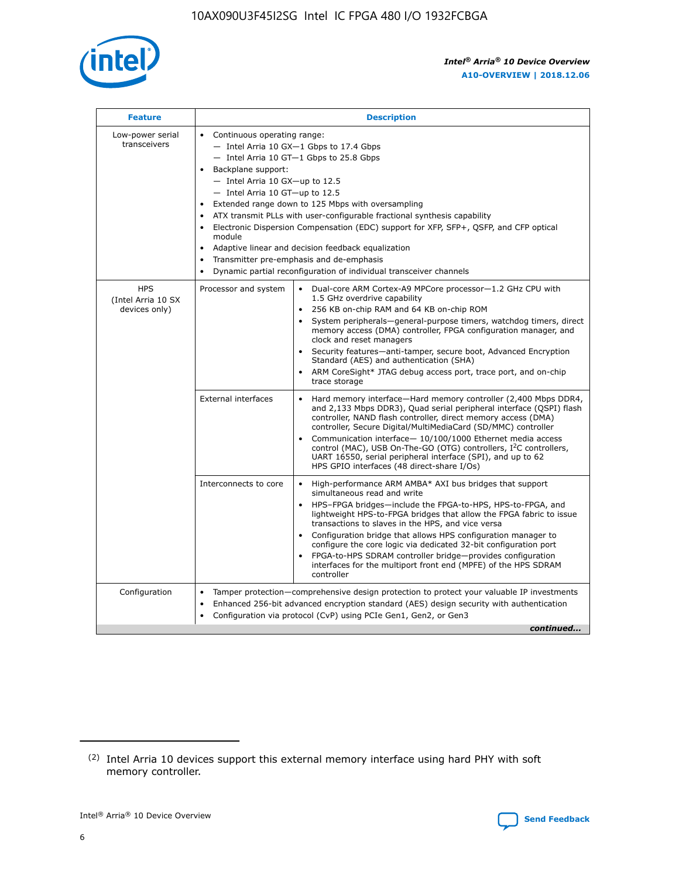

| <b>Feature</b>                                    | <b>Description</b>                                                                                                                                                                                                                                                                                                                                                                                                                                                                                                                                                                                                                             |
|---------------------------------------------------|------------------------------------------------------------------------------------------------------------------------------------------------------------------------------------------------------------------------------------------------------------------------------------------------------------------------------------------------------------------------------------------------------------------------------------------------------------------------------------------------------------------------------------------------------------------------------------------------------------------------------------------------|
| Low-power serial<br>transceivers                  | • Continuous operating range:<br>- Intel Arria 10 GX-1 Gbps to 17.4 Gbps<br>- Intel Arria 10 GT-1 Gbps to 25.8 Gbps<br>Backplane support:<br>$-$ Intel Arria 10 GX-up to 12.5<br>$-$ Intel Arria 10 GT-up to 12.5<br>Extended range down to 125 Mbps with oversampling<br>ATX transmit PLLs with user-configurable fractional synthesis capability<br>• Electronic Dispersion Compensation (EDC) support for XFP, SFP+, QSFP, and CFP optical<br>module<br>• Adaptive linear and decision feedback equalization<br>Transmitter pre-emphasis and de-emphasis<br>$\bullet$<br>Dynamic partial reconfiguration of individual transceiver channels |
| <b>HPS</b><br>(Intel Arria 10 SX<br>devices only) | Processor and system<br>Dual-core ARM Cortex-A9 MPCore processor-1.2 GHz CPU with<br>$\bullet$<br>1.5 GHz overdrive capability<br>256 KB on-chip RAM and 64 KB on-chip ROM<br>$\bullet$<br>System peripherals-general-purpose timers, watchdog timers, direct<br>memory access (DMA) controller, FPGA configuration manager, and<br>clock and reset managers<br>• Security features—anti-tamper, secure boot, Advanced Encryption<br>Standard (AES) and authentication (SHA)<br>ARM CoreSight* JTAG debug access port, trace port, and on-chip<br>trace storage                                                                                |
|                                                   | <b>External interfaces</b><br>Hard memory interface—Hard memory controller (2,400 Mbps DDR4,<br>$\bullet$<br>and 2,133 Mbps DDR3), Quad serial peripheral interface (QSPI) flash<br>controller, NAND flash controller, direct memory access (DMA)<br>controller, Secure Digital/MultiMediaCard (SD/MMC) controller<br>Communication interface-10/100/1000 Ethernet media access<br>control (MAC), USB On-The-GO (OTG) controllers, I <sup>2</sup> C controllers,<br>UART 16550, serial peripheral interface (SPI), and up to 62<br>HPS GPIO interfaces (48 direct-share I/Os)                                                                  |
|                                                   | High-performance ARM AMBA* AXI bus bridges that support<br>Interconnects to core<br>$\bullet$<br>simultaneous read and write<br>HPS-FPGA bridges—include the FPGA-to-HPS, HPS-to-FPGA, and<br>$\bullet$<br>lightweight HPS-to-FPGA bridges that allow the FPGA fabric to issue<br>transactions to slaves in the HPS, and vice versa<br>Configuration bridge that allows HPS configuration manager to<br>configure the core logic via dedicated 32-bit configuration port<br>FPGA-to-HPS SDRAM controller bridge-provides configuration<br>interfaces for the multiport front end (MPFE) of the HPS SDRAM<br>controller                         |
| Configuration                                     | Tamper protection—comprehensive design protection to protect your valuable IP investments<br>Enhanced 256-bit advanced encryption standard (AES) design security with authentication<br>$\bullet$<br>Configuration via protocol (CvP) using PCIe Gen1, Gen2, or Gen3<br>continued                                                                                                                                                                                                                                                                                                                                                              |

<sup>(2)</sup> Intel Arria 10 devices support this external memory interface using hard PHY with soft memory controller.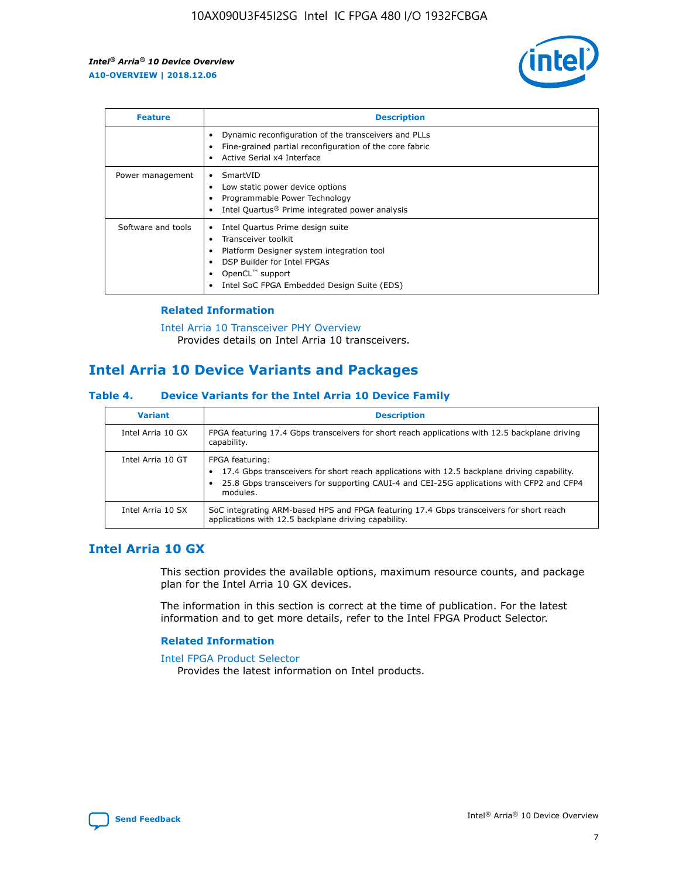

| <b>Feature</b>     | <b>Description</b>                                                                                                                                                                                               |
|--------------------|------------------------------------------------------------------------------------------------------------------------------------------------------------------------------------------------------------------|
|                    | Dynamic reconfiguration of the transceivers and PLLs<br>Fine-grained partial reconfiguration of the core fabric<br>Active Serial x4 Interface<br>$\bullet$                                                       |
| Power management   | SmartVID<br>Low static power device options<br>Programmable Power Technology<br>Intel Quartus <sup>®</sup> Prime integrated power analysis                                                                       |
| Software and tools | Intel Quartus Prime design suite<br>Transceiver toolkit<br>Platform Designer system integration tool<br>DSP Builder for Intel FPGAs<br>OpenCL <sup>™</sup> support<br>Intel SoC FPGA Embedded Design Suite (EDS) |

## **Related Information**

[Intel Arria 10 Transceiver PHY Overview](https://www.intel.com/content/www/us/en/programmable/documentation/nik1398707230472.html#nik1398706768037) Provides details on Intel Arria 10 transceivers.

## **Intel Arria 10 Device Variants and Packages**

#### **Table 4. Device Variants for the Intel Arria 10 Device Family**

| <b>Variant</b>    | <b>Description</b>                                                                                                                                                                                                     |
|-------------------|------------------------------------------------------------------------------------------------------------------------------------------------------------------------------------------------------------------------|
| Intel Arria 10 GX | FPGA featuring 17.4 Gbps transceivers for short reach applications with 12.5 backplane driving<br>capability.                                                                                                          |
| Intel Arria 10 GT | FPGA featuring:<br>17.4 Gbps transceivers for short reach applications with 12.5 backplane driving capability.<br>25.8 Gbps transceivers for supporting CAUI-4 and CEI-25G applications with CFP2 and CFP4<br>modules. |
| Intel Arria 10 SX | SoC integrating ARM-based HPS and FPGA featuring 17.4 Gbps transceivers for short reach<br>applications with 12.5 backplane driving capability.                                                                        |

## **Intel Arria 10 GX**

This section provides the available options, maximum resource counts, and package plan for the Intel Arria 10 GX devices.

The information in this section is correct at the time of publication. For the latest information and to get more details, refer to the Intel FPGA Product Selector.

#### **Related Information**

#### [Intel FPGA Product Selector](http://www.altera.com/products/selector/psg-selector.html) Provides the latest information on Intel products.

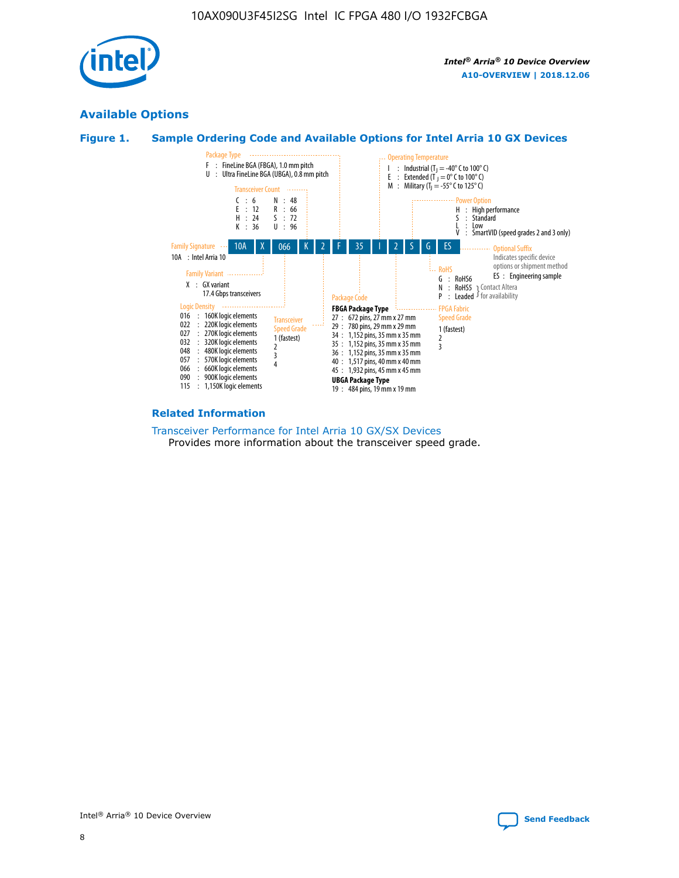

## **Available Options**





#### **Related Information**

[Transceiver Performance for Intel Arria 10 GX/SX Devices](https://www.intel.com/content/www/us/en/programmable/documentation/mcn1413182292568.html#mcn1413213965502) Provides more information about the transceiver speed grade.

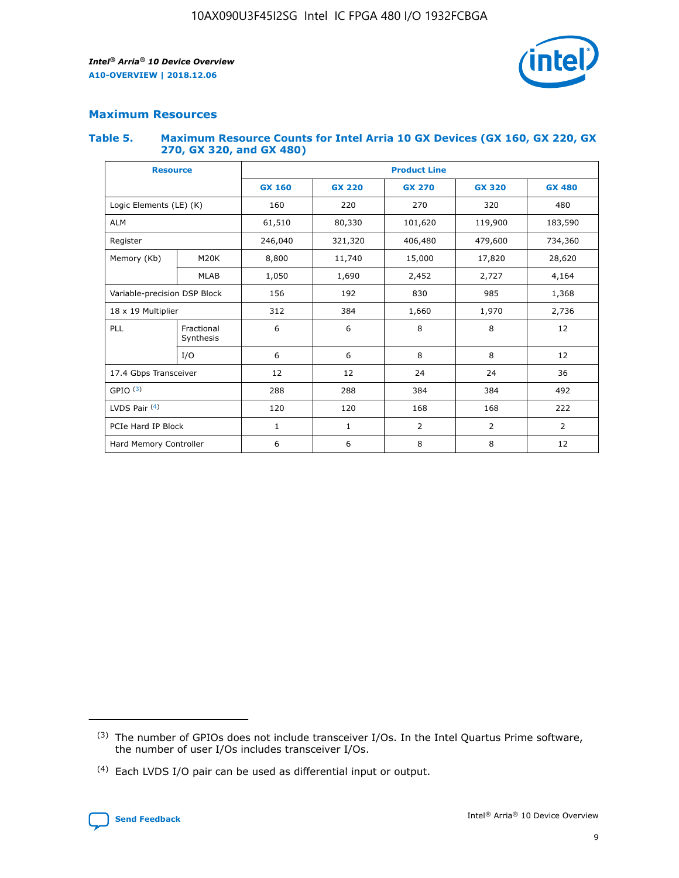

## **Maximum Resources**

#### **Table 5. Maximum Resource Counts for Intel Arria 10 GX Devices (GX 160, GX 220, GX 270, GX 320, and GX 480)**

| <b>Resource</b>         |                                                          | <b>Product Line</b> |                                                 |         |                |                |  |  |  |
|-------------------------|----------------------------------------------------------|---------------------|-------------------------------------------------|---------|----------------|----------------|--|--|--|
|                         |                                                          | <b>GX 160</b>       | <b>GX 220</b><br><b>GX 270</b><br><b>GX 320</b> |         |                | <b>GX 480</b>  |  |  |  |
| Logic Elements (LE) (K) |                                                          | 160                 | 220                                             | 270     | 320            | 480            |  |  |  |
| <b>ALM</b>              |                                                          | 61,510              | 80,330                                          | 101,620 | 119,900        | 183,590        |  |  |  |
| Register                |                                                          | 246,040             | 321,320                                         | 406,480 | 479,600        | 734,360        |  |  |  |
| Memory (Kb)             | M <sub>20</sub> K                                        | 8,800               | 11,740                                          | 15,000  | 17,820         | 28,620         |  |  |  |
| <b>MLAB</b>             |                                                          | 1,050               | 1,690                                           | 2,452   | 2,727          | 4,164          |  |  |  |
|                         | Variable-precision DSP Block<br>156<br>192<br>830<br>985 |                     |                                                 |         | 1,368          |                |  |  |  |
| 18 x 19 Multiplier      |                                                          | 312                 | 384                                             | 1,660   | 1,970          | 2,736          |  |  |  |
| PLL                     | Fractional<br>Synthesis                                  | 6                   | 6                                               | 8       | 8              | 12             |  |  |  |
|                         | I/O                                                      | 6                   | 6                                               | 8       | 8              | 12             |  |  |  |
| 17.4 Gbps Transceiver   |                                                          | 12                  | 12                                              | 24      | 24             |                |  |  |  |
| GPIO <sup>(3)</sup>     |                                                          | 288                 | 288                                             | 384     | 384            | 492            |  |  |  |
| LVDS Pair $(4)$         |                                                          | 120                 | 120                                             | 168     | 168            | 222            |  |  |  |
| PCIe Hard IP Block      |                                                          | 1                   | 1                                               | 2       | $\overline{2}$ | $\overline{2}$ |  |  |  |
| Hard Memory Controller  |                                                          | 6                   | 6                                               | 8       | 8              | 12             |  |  |  |

<sup>(4)</sup> Each LVDS I/O pair can be used as differential input or output.



<sup>(3)</sup> The number of GPIOs does not include transceiver I/Os. In the Intel Quartus Prime software, the number of user I/Os includes transceiver I/Os.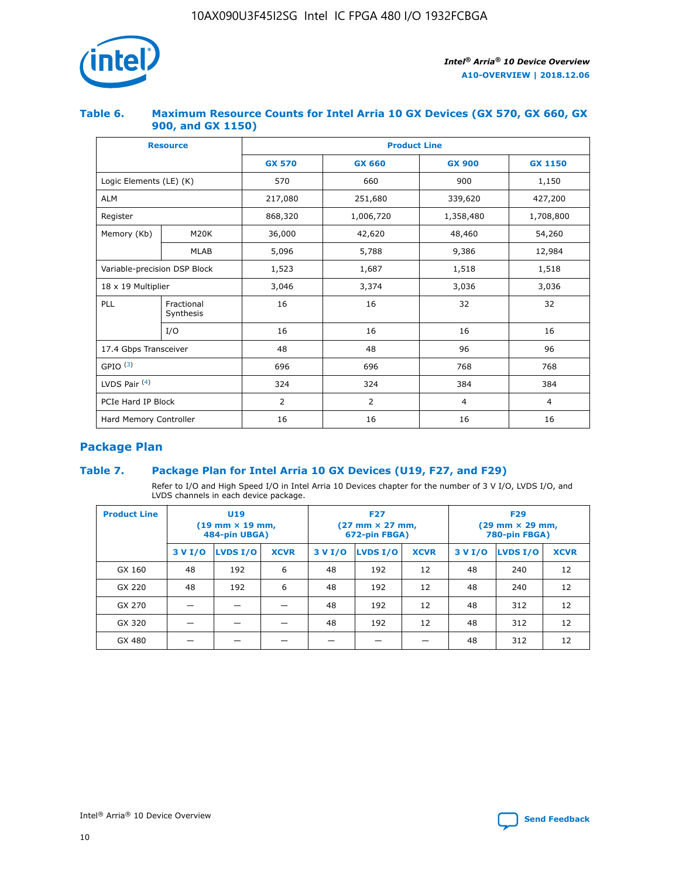

## **Table 6. Maximum Resource Counts for Intel Arria 10 GX Devices (GX 570, GX 660, GX 900, and GX 1150)**

|                              | <b>Resource</b>         | <b>Product Line</b> |               |                |                |  |  |  |
|------------------------------|-------------------------|---------------------|---------------|----------------|----------------|--|--|--|
|                              |                         | <b>GX 570</b>       | <b>GX 660</b> | <b>GX 900</b>  | <b>GX 1150</b> |  |  |  |
| Logic Elements (LE) (K)      |                         | 570                 | 660           | 900            | 1,150          |  |  |  |
| <b>ALM</b>                   |                         | 217,080             | 251,680       | 339,620        | 427,200        |  |  |  |
| Register                     |                         | 868,320             | 1,006,720     | 1,358,480      | 1,708,800      |  |  |  |
| Memory (Kb)<br><b>M20K</b>   |                         | 36,000              | 42,620        | 48,460         | 54,260         |  |  |  |
|                              | <b>MLAB</b>             | 5,096               | 5,788         | 9,386          | 12,984         |  |  |  |
| Variable-precision DSP Block |                         | 1,523               | 1,687         | 1,518          | 1,518          |  |  |  |
| $18 \times 19$ Multiplier    |                         | 3,046               | 3,374         | 3,036          | 3,036          |  |  |  |
| PLL                          | Fractional<br>Synthesis | 16                  | 16            | 32             | 32             |  |  |  |
|                              | I/O                     | 16                  | 16            | 16             | 16             |  |  |  |
| 17.4 Gbps Transceiver        |                         | 48                  | 48            | 96             | 96             |  |  |  |
| GPIO <sup>(3)</sup>          |                         | 696                 | 696           | 768            | 768            |  |  |  |
| LVDS Pair $(4)$              |                         | 324                 | 324           | 384            | 384            |  |  |  |
| PCIe Hard IP Block           |                         | 2                   | 2             | $\overline{4}$ | $\overline{4}$ |  |  |  |
| Hard Memory Controller       |                         | 16                  | 16            | 16             | 16             |  |  |  |

## **Package Plan**

## **Table 7. Package Plan for Intel Arria 10 GX Devices (U19, F27, and F29)**

Refer to I/O and High Speed I/O in Intel Arria 10 Devices chapter for the number of 3 V I/O, LVDS I/O, and LVDS channels in each device package.

| <b>Product Line</b> | U <sub>19</sub><br>$(19 \text{ mm} \times 19 \text{ mm})$<br>484-pin UBGA) |          |             |         | <b>F27</b><br>(27 mm × 27 mm,<br>672-pin FBGA) |             | <b>F29</b><br>(29 mm × 29 mm,<br>780-pin FBGA) |          |             |  |
|---------------------|----------------------------------------------------------------------------|----------|-------------|---------|------------------------------------------------|-------------|------------------------------------------------|----------|-------------|--|
|                     | 3 V I/O                                                                    | LVDS I/O | <b>XCVR</b> | 3 V I/O | <b>LVDS I/O</b>                                | <b>XCVR</b> | 3 V I/O                                        | LVDS I/O | <b>XCVR</b> |  |
| GX 160              | 48                                                                         | 192      | 6           | 48      | 192                                            | 12          | 48                                             | 240      | 12          |  |
| GX 220              | 48                                                                         | 192      | 6           | 48      | 192                                            | 12          | 48                                             | 240      | 12          |  |
| GX 270              |                                                                            |          |             | 48      | 192                                            | 12          | 48                                             | 312      | 12          |  |
| GX 320              |                                                                            |          |             | 48      | 192                                            | 12          | 48                                             | 312      | 12          |  |
| GX 480              |                                                                            |          |             |         |                                                |             | 48                                             | 312      | 12          |  |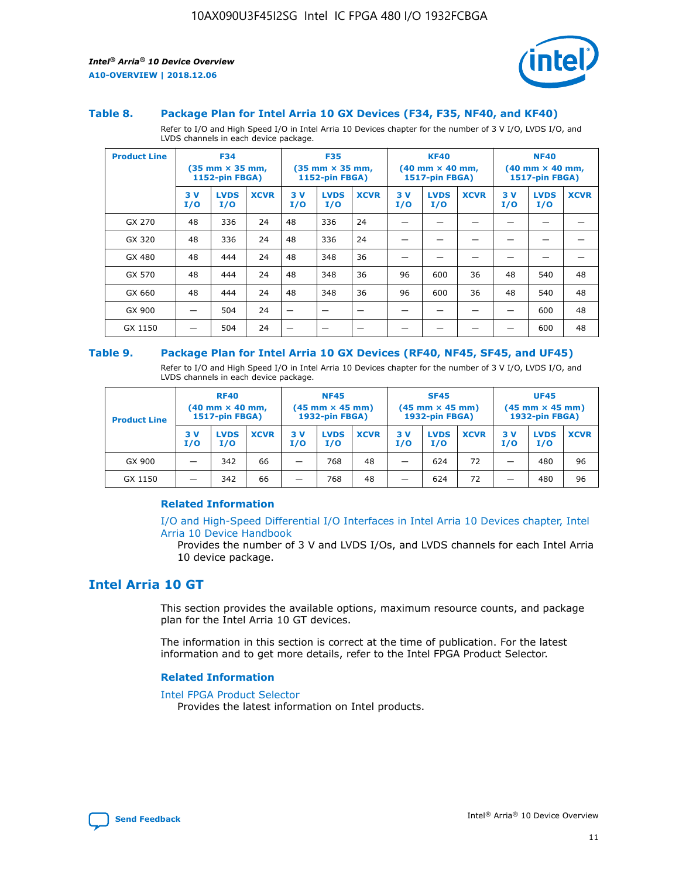

#### **Table 8. Package Plan for Intel Arria 10 GX Devices (F34, F35, NF40, and KF40)**

Refer to I/O and High Speed I/O in Intel Arria 10 Devices chapter for the number of 3 V I/O, LVDS I/O, and LVDS channels in each device package.

| <b>Product Line</b> | <b>F34</b><br>$(35 \text{ mm} \times 35 \text{ mm})$<br>1152-pin FBGA) |                    | <b>F35</b><br>$(35$ mm $\times$ 35 mm,<br><b>1152-pin FBGA)</b> |           | <b>KF40</b><br>$(40 \text{ mm} \times 40 \text{ mm})$<br>1517-pin FBGA) |             |           | <b>NF40</b><br>$(40 \text{ mm} \times 40 \text{ mm})$<br><b>1517-pin FBGA)</b> |             |            |                    |             |
|---------------------|------------------------------------------------------------------------|--------------------|-----------------------------------------------------------------|-----------|-------------------------------------------------------------------------|-------------|-----------|--------------------------------------------------------------------------------|-------------|------------|--------------------|-------------|
|                     | 3V<br>I/O                                                              | <b>LVDS</b><br>I/O | <b>XCVR</b>                                                     | 3V<br>I/O | <b>LVDS</b><br>I/O                                                      | <b>XCVR</b> | 3V<br>I/O | <b>LVDS</b><br>I/O                                                             | <b>XCVR</b> | 3 V<br>I/O | <b>LVDS</b><br>I/O | <b>XCVR</b> |
| GX 270              | 48                                                                     | 336                | 24                                                              | 48        | 336                                                                     | 24          |           |                                                                                |             |            |                    |             |
| GX 320              | 48                                                                     | 336                | 24                                                              | 48        | 336                                                                     | 24          |           |                                                                                |             |            |                    |             |
| GX 480              | 48                                                                     | 444                | 24                                                              | 48        | 348                                                                     | 36          |           |                                                                                |             |            |                    |             |
| GX 570              | 48                                                                     | 444                | 24                                                              | 48        | 348                                                                     | 36          | 96        | 600                                                                            | 36          | 48         | 540                | 48          |
| GX 660              | 48                                                                     | 444                | 24                                                              | 48        | 348                                                                     | 36          | 96        | 600                                                                            | 36          | 48         | 540                | 48          |
| GX 900              |                                                                        | 504                | 24                                                              | –         |                                                                         |             |           |                                                                                |             |            | 600                | 48          |
| GX 1150             |                                                                        | 504                | 24                                                              |           |                                                                         |             |           |                                                                                |             |            | 600                | 48          |

#### **Table 9. Package Plan for Intel Arria 10 GX Devices (RF40, NF45, SF45, and UF45)**

Refer to I/O and High Speed I/O in Intel Arria 10 Devices chapter for the number of 3 V I/O, LVDS I/O, and LVDS channels in each device package.

| <b>Product Line</b> | <b>RF40</b><br>$(40 \text{ mm} \times 40 \text{ mm})$<br>1517-pin FBGA) |                    | <b>NF45</b><br>$(45 \text{ mm} \times 45 \text{ mm})$<br><b>1932-pin FBGA)</b> |            |                    | <b>SF45</b><br>$(45 \text{ mm} \times 45 \text{ mm})$<br><b>1932-pin FBGA)</b> |            |                    | <b>UF45</b><br>$(45 \text{ mm} \times 45 \text{ mm})$<br>1932-pin FBGA) |           |                    |             |
|---------------------|-------------------------------------------------------------------------|--------------------|--------------------------------------------------------------------------------|------------|--------------------|--------------------------------------------------------------------------------|------------|--------------------|-------------------------------------------------------------------------|-----------|--------------------|-------------|
|                     | 3V<br>I/O                                                               | <b>LVDS</b><br>I/O | <b>XCVR</b>                                                                    | 3 V<br>I/O | <b>LVDS</b><br>I/O | <b>XCVR</b>                                                                    | 3 V<br>I/O | <b>LVDS</b><br>I/O | <b>XCVR</b>                                                             | 3V<br>I/O | <b>LVDS</b><br>I/O | <b>XCVR</b> |
| GX 900              |                                                                         | 342                | 66                                                                             | _          | 768                | 48                                                                             |            | 624                | 72                                                                      |           | 480                | 96          |
| GX 1150             |                                                                         | 342                | 66                                                                             | -          | 768                | 48                                                                             |            | 624                | 72                                                                      |           | 480                | 96          |

### **Related Information**

[I/O and High-Speed Differential I/O Interfaces in Intel Arria 10 Devices chapter, Intel](https://www.intel.com/content/www/us/en/programmable/documentation/sam1403482614086.html#sam1403482030321) [Arria 10 Device Handbook](https://www.intel.com/content/www/us/en/programmable/documentation/sam1403482614086.html#sam1403482030321)

Provides the number of 3 V and LVDS I/Os, and LVDS channels for each Intel Arria 10 device package.

## **Intel Arria 10 GT**

This section provides the available options, maximum resource counts, and package plan for the Intel Arria 10 GT devices.

The information in this section is correct at the time of publication. For the latest information and to get more details, refer to the Intel FPGA Product Selector.

#### **Related Information**

#### [Intel FPGA Product Selector](http://www.altera.com/products/selector/psg-selector.html)

Provides the latest information on Intel products.

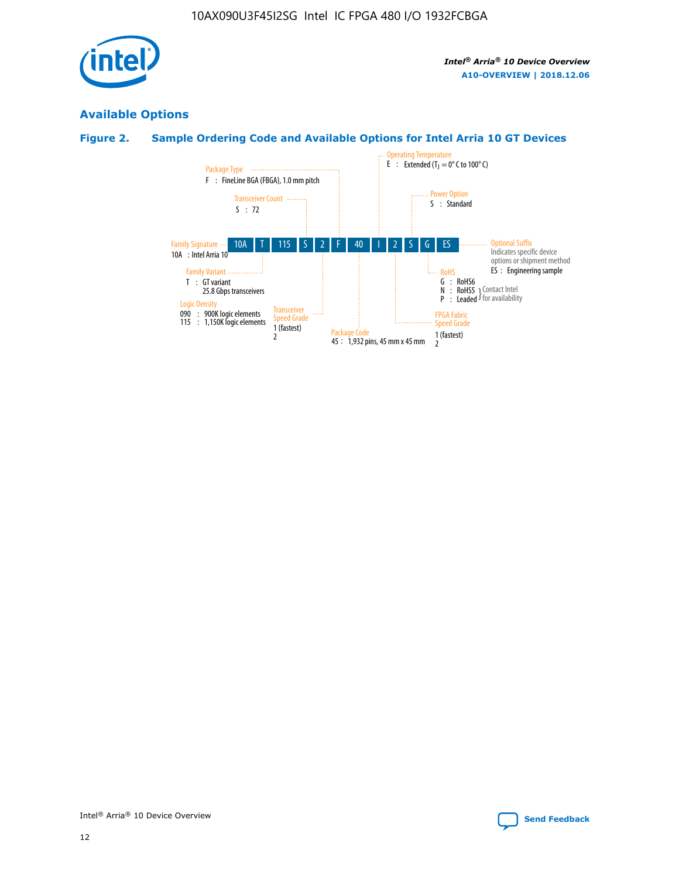

## **Available Options**

## **Figure 2. Sample Ordering Code and Available Options for Intel Arria 10 GT Devices**

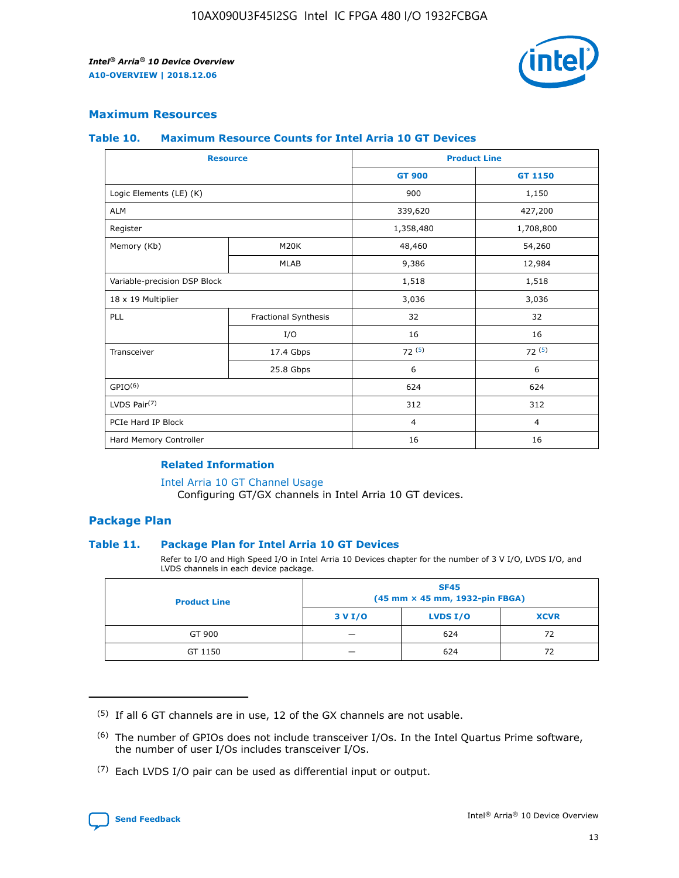

## **Maximum Resources**

#### **Table 10. Maximum Resource Counts for Intel Arria 10 GT Devices**

| <b>Resource</b>              |                      |                | <b>Product Line</b> |  |
|------------------------------|----------------------|----------------|---------------------|--|
|                              |                      | <b>GT 900</b>  | <b>GT 1150</b>      |  |
| Logic Elements (LE) (K)      |                      | 900            | 1,150               |  |
| <b>ALM</b>                   |                      | 339,620        | 427,200             |  |
| Register                     |                      | 1,358,480      | 1,708,800           |  |
| Memory (Kb)                  | M20K                 | 48,460         | 54,260              |  |
|                              | <b>MLAB</b>          | 9,386          | 12,984              |  |
| Variable-precision DSP Block |                      | 1,518          | 1,518               |  |
| 18 x 19 Multiplier           |                      | 3,036          | 3,036               |  |
| PLL                          | Fractional Synthesis | 32             | 32                  |  |
|                              | I/O                  | 16             | 16                  |  |
| Transceiver                  | 17.4 Gbps            | 72(5)          | 72(5)               |  |
|                              | 25.8 Gbps            | 6              | 6                   |  |
| GPIO <sup>(6)</sup>          |                      | 624            | 624                 |  |
| LVDS Pair $(7)$              |                      | 312            | 312                 |  |
| PCIe Hard IP Block           |                      | $\overline{4}$ | $\overline{4}$      |  |
| Hard Memory Controller       |                      | 16             | 16                  |  |

### **Related Information**

#### [Intel Arria 10 GT Channel Usage](https://www.intel.com/content/www/us/en/programmable/documentation/nik1398707230472.html#nik1398707008178)

Configuring GT/GX channels in Intel Arria 10 GT devices.

## **Package Plan**

#### **Table 11. Package Plan for Intel Arria 10 GT Devices**

Refer to I/O and High Speed I/O in Intel Arria 10 Devices chapter for the number of 3 V I/O, LVDS I/O, and LVDS channels in each device package.

| <b>Product Line</b> | <b>SF45</b><br>(45 mm × 45 mm, 1932-pin FBGA) |                 |             |  |  |  |
|---------------------|-----------------------------------------------|-----------------|-------------|--|--|--|
|                     | 3 V I/O                                       | <b>LVDS I/O</b> | <b>XCVR</b> |  |  |  |
| GT 900              |                                               | 624             | 72          |  |  |  |
| GT 1150             |                                               | 624             | 72          |  |  |  |

<sup>(7)</sup> Each LVDS I/O pair can be used as differential input or output.



 $(5)$  If all 6 GT channels are in use, 12 of the GX channels are not usable.

<sup>(6)</sup> The number of GPIOs does not include transceiver I/Os. In the Intel Quartus Prime software, the number of user I/Os includes transceiver I/Os.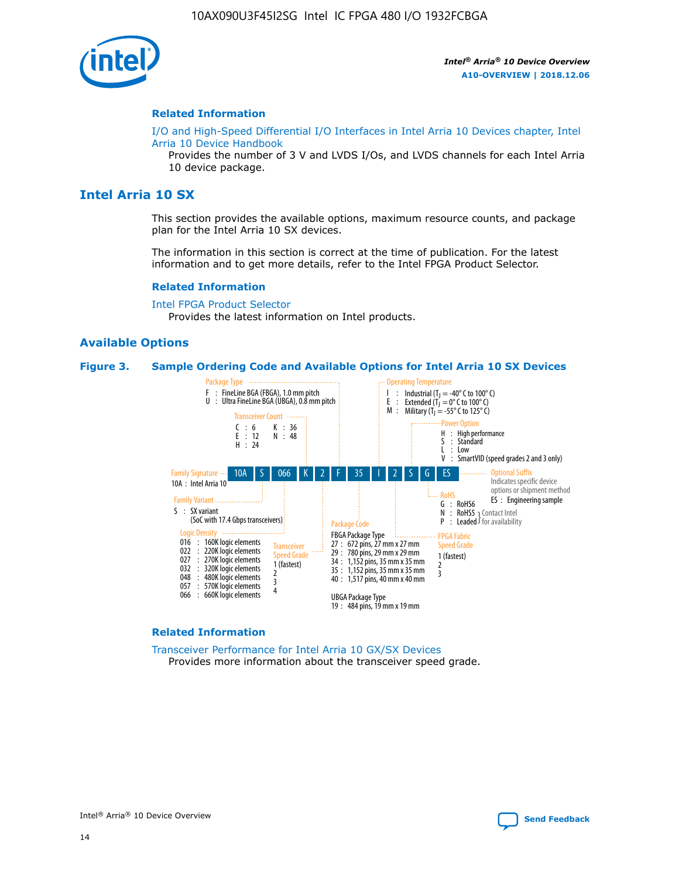

#### **Related Information**

[I/O and High-Speed Differential I/O Interfaces in Intel Arria 10 Devices chapter, Intel](https://www.intel.com/content/www/us/en/programmable/documentation/sam1403482614086.html#sam1403482030321) [Arria 10 Device Handbook](https://www.intel.com/content/www/us/en/programmable/documentation/sam1403482614086.html#sam1403482030321)

Provides the number of 3 V and LVDS I/Os, and LVDS channels for each Intel Arria 10 device package.

## **Intel Arria 10 SX**

This section provides the available options, maximum resource counts, and package plan for the Intel Arria 10 SX devices.

The information in this section is correct at the time of publication. For the latest information and to get more details, refer to the Intel FPGA Product Selector.

#### **Related Information**

[Intel FPGA Product Selector](http://www.altera.com/products/selector/psg-selector.html) Provides the latest information on Intel products.

#### **Available Options**

#### **Figure 3. Sample Ordering Code and Available Options for Intel Arria 10 SX Devices**



#### **Related Information**

[Transceiver Performance for Intel Arria 10 GX/SX Devices](https://www.intel.com/content/www/us/en/programmable/documentation/mcn1413182292568.html#mcn1413213965502) Provides more information about the transceiver speed grade.

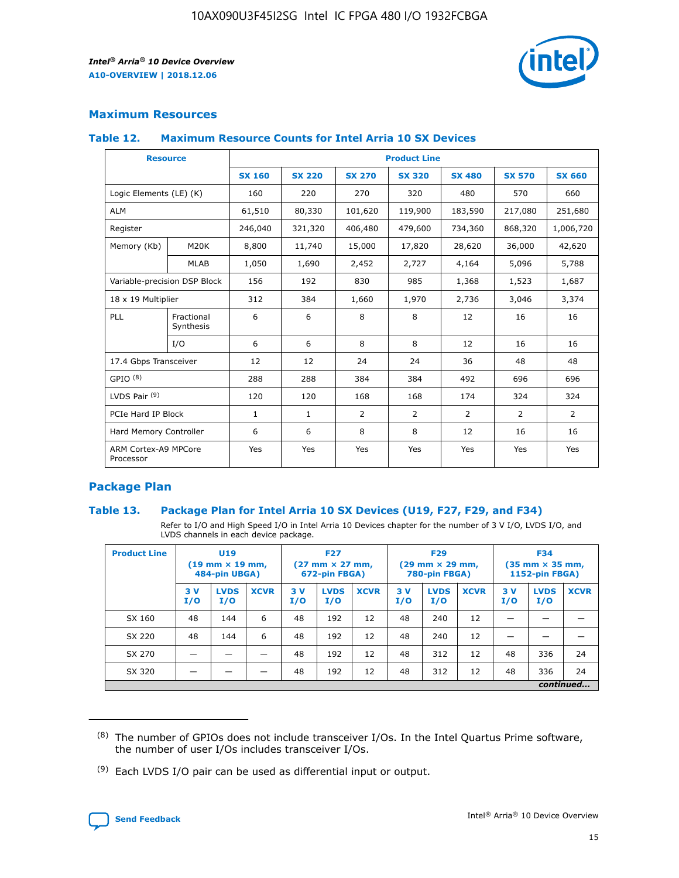

## **Maximum Resources**

#### **Table 12. Maximum Resource Counts for Intel Arria 10 SX Devices**

| <b>Resource</b>                   |                         |               |               |                | <b>Product Line</b> |                |                |                |
|-----------------------------------|-------------------------|---------------|---------------|----------------|---------------------|----------------|----------------|----------------|
|                                   |                         | <b>SX 160</b> | <b>SX 220</b> | <b>SX 270</b>  | <b>SX 320</b>       | <b>SX 480</b>  | <b>SX 570</b>  | <b>SX 660</b>  |
| Logic Elements (LE) (K)           |                         | 160           | 220           | 270            | 320                 | 480            | 570            | 660            |
| <b>ALM</b>                        |                         | 61,510        | 80,330        | 101,620        | 119,900             | 183,590        | 217,080        | 251,680        |
| Register                          |                         | 246,040       | 321,320       | 406,480        | 479,600             | 734,360        | 868,320        | 1,006,720      |
| Memory (Kb)                       | M <sub>20</sub> K       | 8,800         | 11,740        | 15,000         | 17,820              | 28,620         | 36,000         | 42,620         |
|                                   | <b>MLAB</b>             | 1,050         | 1,690         | 2,452          | 2,727               | 4,164          | 5,096          | 5,788          |
| Variable-precision DSP Block      |                         | 156           | 192           | 830            | 985                 | 1,368          | 1,523          | 1,687          |
| 18 x 19 Multiplier                |                         | 312           | 384           | 1,660          | 1,970               | 2,736          | 3,046          | 3,374          |
| PLL                               | Fractional<br>Synthesis | 6             | 6             | 8              | 8                   | 12             | 16             | 16             |
|                                   | I/O                     | 6             | 6             | 8              | 8                   | 12             | 16             | 16             |
| 17.4 Gbps Transceiver             |                         | 12            | 12            | 24             | 24                  | 36             | 48             | 48             |
| GPIO <sup>(8)</sup>               |                         | 288           | 288           | 384            | 384                 | 492            | 696            | 696            |
| LVDS Pair $(9)$                   |                         | 120           | 120           | 168            | 168                 | 174            | 324            | 324            |
| PCIe Hard IP Block                |                         | $\mathbf{1}$  | $\mathbf{1}$  | $\overline{2}$ | $\overline{2}$      | $\overline{2}$ | $\overline{2}$ | $\overline{2}$ |
| Hard Memory Controller            |                         | 6             | 6             | 8              | 8                   | 12             | 16             | 16             |
| ARM Cortex-A9 MPCore<br>Processor |                         | Yes           | Yes           | Yes            | Yes                 | Yes            | Yes            | Yes            |

## **Package Plan**

#### **Table 13. Package Plan for Intel Arria 10 SX Devices (U19, F27, F29, and F34)**

Refer to I/O and High Speed I/O in Intel Arria 10 Devices chapter for the number of 3 V I/O, LVDS I/O, and LVDS channels in each device package.

| <b>Product Line</b> | <b>U19</b><br>$(19 \text{ mm} \times 19 \text{ mm})$<br>484-pin UBGA) |                    | <b>F27</b><br>$(27 \text{ mm} \times 27 \text{ mm})$<br>672-pin FBGA) |           | <b>F29</b><br>$(29$ mm $\times$ 29 mm,<br>780-pin FBGA) |             |            | <b>F34</b><br>$(35 \text{ mm} \times 35 \text{ mm})$<br>1152-pin FBGA) |             |           |                    |             |
|---------------------|-----------------------------------------------------------------------|--------------------|-----------------------------------------------------------------------|-----------|---------------------------------------------------------|-------------|------------|------------------------------------------------------------------------|-------------|-----------|--------------------|-------------|
|                     | 3V<br>I/O                                                             | <b>LVDS</b><br>I/O | <b>XCVR</b>                                                           | 3V<br>I/O | <b>LVDS</b><br>I/O                                      | <b>XCVR</b> | 3 V<br>I/O | <b>LVDS</b><br>I/O                                                     | <b>XCVR</b> | 3V<br>I/O | <b>LVDS</b><br>I/O | <b>XCVR</b> |
| SX 160              | 48                                                                    | 144                | 6                                                                     | 48        | 192                                                     | 12          | 48         | 240                                                                    | 12          | –         |                    |             |
| SX 220              | 48                                                                    | 144                | 6                                                                     | 48        | 192                                                     | 12          | 48         | 240                                                                    | 12          |           |                    |             |
| SX 270              |                                                                       |                    |                                                                       | 48        | 192                                                     | 12          | 48         | 312                                                                    | 12          | 48        | 336                | 24          |
| SX 320              |                                                                       |                    |                                                                       | 48        | 192                                                     | 12          | 48         | 312                                                                    | 12          | 48        | 336                | 24          |
|                     | continued                                                             |                    |                                                                       |           |                                                         |             |            |                                                                        |             |           |                    |             |

 $(8)$  The number of GPIOs does not include transceiver I/Os. In the Intel Quartus Prime software, the number of user I/Os includes transceiver I/Os.

 $(9)$  Each LVDS I/O pair can be used as differential input or output.

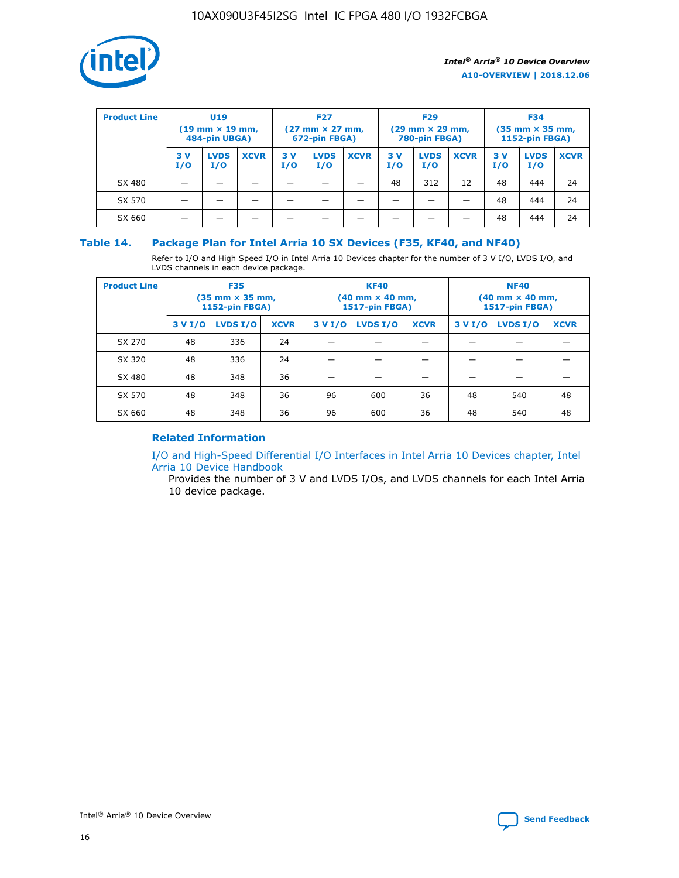

| <b>Product Line</b> | U <sub>19</sub><br>$(19 \text{ mm} \times 19 \text{ mm})$<br>484-pin UBGA) |                    | <b>F27</b><br>$(27 \text{ mm} \times 27 \text{ mm})$<br>672-pin FBGA) |           |                    | <b>F29</b><br>$(29 \text{ mm} \times 29 \text{ mm})$<br>780-pin FBGA) |           |                    | <b>F34</b><br>$(35$ mm $\times$ 35 mm,<br><b>1152-pin FBGA)</b> |           |                    |             |
|---------------------|----------------------------------------------------------------------------|--------------------|-----------------------------------------------------------------------|-----------|--------------------|-----------------------------------------------------------------------|-----------|--------------------|-----------------------------------------------------------------|-----------|--------------------|-------------|
|                     | 3 V<br>I/O                                                                 | <b>LVDS</b><br>I/O | <b>XCVR</b>                                                           | 3V<br>I/O | <b>LVDS</b><br>I/O | <b>XCVR</b>                                                           | 3V<br>I/O | <b>LVDS</b><br>I/O | <b>XCVR</b>                                                     | 3V<br>I/O | <b>LVDS</b><br>I/O | <b>XCVR</b> |
| SX 480              |                                                                            |                    |                                                                       |           |                    |                                                                       | 48        | 312                | 12                                                              | 48        | 444                | 24          |
| SX 570              |                                                                            |                    |                                                                       |           |                    |                                                                       |           |                    |                                                                 | 48        | 444                | 24          |
| SX 660              |                                                                            |                    |                                                                       |           |                    |                                                                       |           |                    |                                                                 | 48        | 444                | 24          |

## **Table 14. Package Plan for Intel Arria 10 SX Devices (F35, KF40, and NF40)**

Refer to I/O and High Speed I/O in Intel Arria 10 Devices chapter for the number of 3 V I/O, LVDS I/O, and LVDS channels in each device package.

| <b>Product Line</b> | <b>F35</b><br>(35 mm × 35 mm,<br><b>1152-pin FBGA)</b> |          |             |                                           | <b>KF40</b><br>(40 mm × 40 mm,<br>1517-pin FBGA) |    | <b>NF40</b><br>$(40 \text{ mm} \times 40 \text{ mm})$<br>1517-pin FBGA) |          |             |  |
|---------------------|--------------------------------------------------------|----------|-------------|-------------------------------------------|--------------------------------------------------|----|-------------------------------------------------------------------------|----------|-------------|--|
|                     | 3 V I/O                                                | LVDS I/O | <b>XCVR</b> | <b>LVDS I/O</b><br>3 V I/O<br><b>XCVR</b> |                                                  |    | 3 V I/O                                                                 | LVDS I/O | <b>XCVR</b> |  |
| SX 270              | 48                                                     | 336      | 24          |                                           |                                                  |    |                                                                         |          |             |  |
| SX 320              | 48                                                     | 336      | 24          |                                           |                                                  |    |                                                                         |          |             |  |
| SX 480              | 48                                                     | 348      | 36          |                                           |                                                  |    |                                                                         |          |             |  |
| SX 570              | 48                                                     | 348      | 36          | 96                                        | 600                                              | 36 | 48                                                                      | 540      | 48          |  |
| SX 660              | 48                                                     | 348      | 36          | 96                                        | 600                                              | 36 | 48                                                                      | 540      | 48          |  |

## **Related Information**

[I/O and High-Speed Differential I/O Interfaces in Intel Arria 10 Devices chapter, Intel](https://www.intel.com/content/www/us/en/programmable/documentation/sam1403482614086.html#sam1403482030321) [Arria 10 Device Handbook](https://www.intel.com/content/www/us/en/programmable/documentation/sam1403482614086.html#sam1403482030321)

Provides the number of 3 V and LVDS I/Os, and LVDS channels for each Intel Arria 10 device package.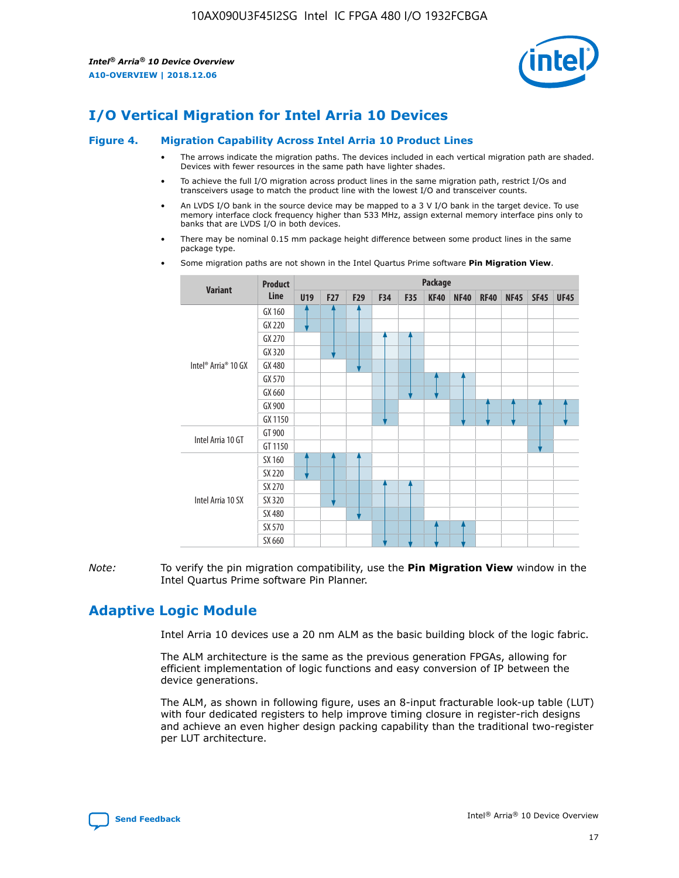

# **I/O Vertical Migration for Intel Arria 10 Devices**

#### **Figure 4. Migration Capability Across Intel Arria 10 Product Lines**

- The arrows indicate the migration paths. The devices included in each vertical migration path are shaded. Devices with fewer resources in the same path have lighter shades.
- To achieve the full I/O migration across product lines in the same migration path, restrict I/Os and transceivers usage to match the product line with the lowest I/O and transceiver counts.
- An LVDS I/O bank in the source device may be mapped to a 3 V I/O bank in the target device. To use memory interface clock frequency higher than 533 MHz, assign external memory interface pins only to banks that are LVDS I/O in both devices.
- There may be nominal 0.15 mm package height difference between some product lines in the same package type.
	- **Variant Product Line Package U19 F27 F29 F34 F35 KF40 NF40 RF40 NF45 SF45 UF45** Intel® Arria® 10 GX GX 160 GX 220 GX 270 GX 320 GX 480 GX 570 GX 660 GX 900 GX 1150 Intel Arria 10 GT GT 900 GT 1150 Intel Arria 10 SX SX 160 SX 220 SX 270 SX 320 SX 480 SX 570 SX 660
- Some migration paths are not shown in the Intel Quartus Prime software **Pin Migration View**.

*Note:* To verify the pin migration compatibility, use the **Pin Migration View** window in the Intel Quartus Prime software Pin Planner.

## **Adaptive Logic Module**

Intel Arria 10 devices use a 20 nm ALM as the basic building block of the logic fabric.

The ALM architecture is the same as the previous generation FPGAs, allowing for efficient implementation of logic functions and easy conversion of IP between the device generations.

The ALM, as shown in following figure, uses an 8-input fracturable look-up table (LUT) with four dedicated registers to help improve timing closure in register-rich designs and achieve an even higher design packing capability than the traditional two-register per LUT architecture.

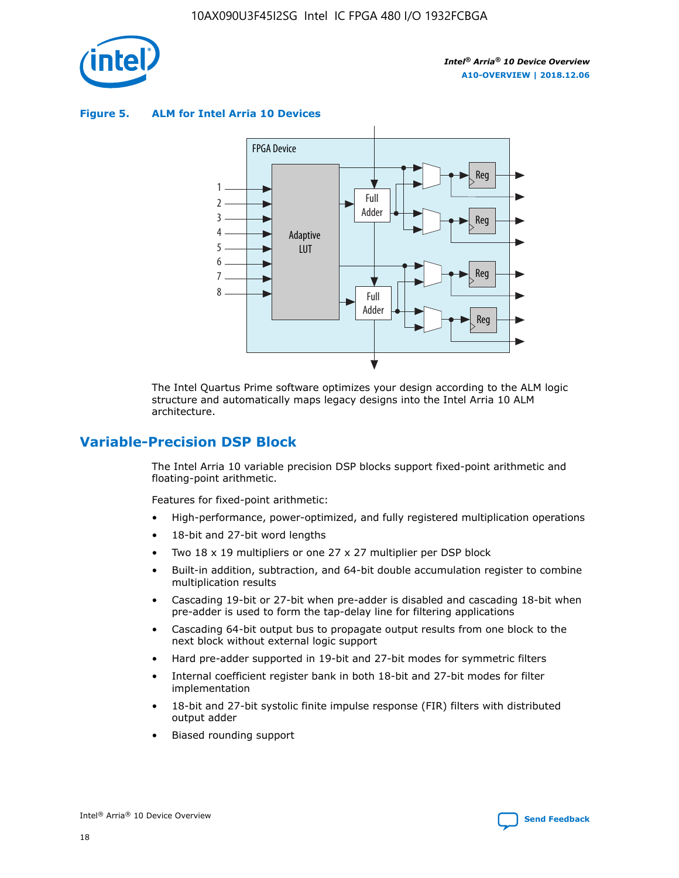

**Figure 5. ALM for Intel Arria 10 Devices**



The Intel Quartus Prime software optimizes your design according to the ALM logic structure and automatically maps legacy designs into the Intel Arria 10 ALM architecture.

## **Variable-Precision DSP Block**

The Intel Arria 10 variable precision DSP blocks support fixed-point arithmetic and floating-point arithmetic.

Features for fixed-point arithmetic:

- High-performance, power-optimized, and fully registered multiplication operations
- 18-bit and 27-bit word lengths
- Two 18 x 19 multipliers or one 27 x 27 multiplier per DSP block
- Built-in addition, subtraction, and 64-bit double accumulation register to combine multiplication results
- Cascading 19-bit or 27-bit when pre-adder is disabled and cascading 18-bit when pre-adder is used to form the tap-delay line for filtering applications
- Cascading 64-bit output bus to propagate output results from one block to the next block without external logic support
- Hard pre-adder supported in 19-bit and 27-bit modes for symmetric filters
- Internal coefficient register bank in both 18-bit and 27-bit modes for filter implementation
- 18-bit and 27-bit systolic finite impulse response (FIR) filters with distributed output adder
- Biased rounding support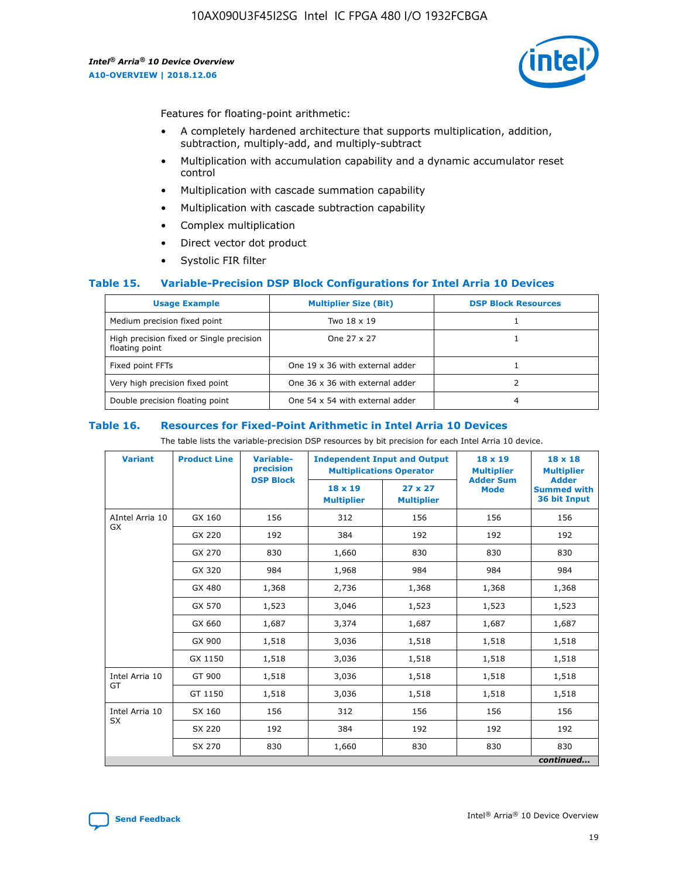

Features for floating-point arithmetic:

- A completely hardened architecture that supports multiplication, addition, subtraction, multiply-add, and multiply-subtract
- Multiplication with accumulation capability and a dynamic accumulator reset control
- Multiplication with cascade summation capability
- Multiplication with cascade subtraction capability
- Complex multiplication
- Direct vector dot product
- Systolic FIR filter

#### **Table 15. Variable-Precision DSP Block Configurations for Intel Arria 10 Devices**

| <b>Usage Example</b>                                       | <b>Multiplier Size (Bit)</b>    | <b>DSP Block Resources</b> |
|------------------------------------------------------------|---------------------------------|----------------------------|
| Medium precision fixed point                               | Two 18 x 19                     |                            |
| High precision fixed or Single precision<br>floating point | One 27 x 27                     |                            |
| Fixed point FFTs                                           | One 19 x 36 with external adder |                            |
| Very high precision fixed point                            | One 36 x 36 with external adder |                            |
| Double precision floating point                            | One 54 x 54 with external adder | 4                          |

#### **Table 16. Resources for Fixed-Point Arithmetic in Intel Arria 10 Devices**

The table lists the variable-precision DSP resources by bit precision for each Intel Arria 10 device.

| <b>Variant</b>  | <b>Product Line</b> | Variable-<br>precision<br><b>DSP Block</b> | <b>Independent Input and Output</b><br><b>Multiplications Operator</b> |                                     | 18 x 19<br><b>Multiplier</b><br><b>Adder Sum</b> | $18 \times 18$<br><b>Multiplier</b><br><b>Adder</b> |
|-----------------|---------------------|--------------------------------------------|------------------------------------------------------------------------|-------------------------------------|--------------------------------------------------|-----------------------------------------------------|
|                 |                     |                                            | 18 x 19<br><b>Multiplier</b>                                           | $27 \times 27$<br><b>Multiplier</b> | <b>Mode</b>                                      | <b>Summed with</b><br>36 bit Input                  |
| AIntel Arria 10 | GX 160              | 156                                        | 312                                                                    | 156                                 | 156                                              | 156                                                 |
| GX              | GX 220              | 192                                        | 384                                                                    | 192                                 | 192                                              | 192                                                 |
|                 | GX 270              | 830                                        | 1,660                                                                  | 830                                 | 830                                              | 830                                                 |
|                 | GX 320              | 984                                        | 1,968                                                                  | 984                                 | 984                                              | 984                                                 |
|                 | GX 480              | 1,368                                      | 2,736                                                                  | 1,368                               | 1,368                                            | 1,368                                               |
|                 | GX 570              | 1,523                                      | 3,046                                                                  | 1,523                               | 1,523                                            | 1,523                                               |
|                 | GX 660              | 1,687                                      | 3,374                                                                  | 1,687                               | 1,687                                            | 1,687                                               |
|                 | GX 900              | 1,518                                      | 3,036                                                                  | 1,518                               | 1,518                                            | 1,518                                               |
|                 | GX 1150             | 1,518                                      | 3,036                                                                  | 1,518                               | 1,518                                            | 1,518                                               |
| Intel Arria 10  | GT 900              | 1,518                                      | 3,036                                                                  | 1,518                               | 1,518                                            | 1,518                                               |
| GT              | GT 1150             | 1,518                                      | 3,036                                                                  | 1,518                               | 1,518                                            | 1,518                                               |
| Intel Arria 10  | SX 160              | 156                                        | 312                                                                    | 156                                 | 156                                              | 156                                                 |
| <b>SX</b>       | SX 220              | 192                                        | 384                                                                    | 192                                 | 192                                              | 192                                                 |
|                 | SX 270              | 830                                        | 1,660                                                                  | 830                                 | 830                                              | 830                                                 |
|                 |                     |                                            |                                                                        |                                     |                                                  | continued                                           |

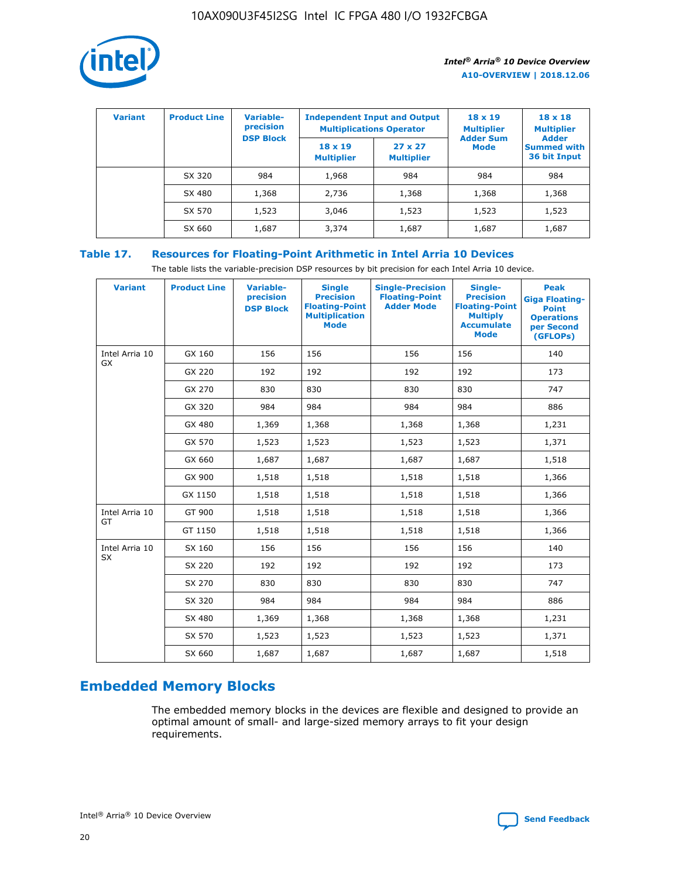

| <b>Variant</b> | <b>Product Line</b> | Variable-<br>precision | <b>Independent Input and Output</b><br><b>Multiplications Operator</b> |                                     | $18 \times 19$<br><b>Multiplier</b> | $18 \times 18$<br><b>Multiplier</b><br><b>Adder</b> |  |
|----------------|---------------------|------------------------|------------------------------------------------------------------------|-------------------------------------|-------------------------------------|-----------------------------------------------------|--|
|                |                     | <b>DSP Block</b>       | $18 \times 19$<br><b>Multiplier</b>                                    | $27 \times 27$<br><b>Multiplier</b> | <b>Adder Sum</b><br><b>Mode</b>     | <b>Summed with</b><br>36 bit Input                  |  |
|                | SX 320              | 984                    | 1,968                                                                  | 984                                 | 984                                 | 984                                                 |  |
|                | SX 480              | 1,368                  | 2,736                                                                  | 1,368                               | 1,368                               | 1,368                                               |  |
|                | SX 570              | 1,523                  | 3,046                                                                  | 1,523                               | 1,523                               | 1,523                                               |  |
|                | SX 660              | 1,687                  | 3,374                                                                  | 1,687                               | 1,687                               | 1,687                                               |  |

## **Table 17. Resources for Floating-Point Arithmetic in Intel Arria 10 Devices**

The table lists the variable-precision DSP resources by bit precision for each Intel Arria 10 device.

| <b>Variant</b> | <b>Product Line</b> | <b>Variable-</b><br>precision<br><b>DSP Block</b> | <b>Single</b><br><b>Precision</b><br><b>Floating-Point</b><br><b>Multiplication</b><br><b>Mode</b> | <b>Single-Precision</b><br><b>Floating-Point</b><br><b>Adder Mode</b> | Single-<br><b>Precision</b><br><b>Floating-Point</b><br><b>Multiply</b><br><b>Accumulate</b><br><b>Mode</b> | <b>Peak</b><br><b>Giga Floating-</b><br><b>Point</b><br><b>Operations</b><br>per Second<br>(GFLOPs) |
|----------------|---------------------|---------------------------------------------------|----------------------------------------------------------------------------------------------------|-----------------------------------------------------------------------|-------------------------------------------------------------------------------------------------------------|-----------------------------------------------------------------------------------------------------|
| Intel Arria 10 | GX 160              | 156                                               | 156                                                                                                | 156                                                                   | 156                                                                                                         | 140                                                                                                 |
| GX             | GX 220              | 192                                               | 192                                                                                                | 192                                                                   | 192                                                                                                         | 173                                                                                                 |
|                | GX 270              | 830                                               | 830                                                                                                | 830                                                                   | 830                                                                                                         | 747                                                                                                 |
|                | GX 320              | 984                                               | 984                                                                                                | 984                                                                   | 984                                                                                                         | 886                                                                                                 |
|                | GX 480              | 1,369                                             | 1,368                                                                                              | 1,368                                                                 | 1,368                                                                                                       | 1,231                                                                                               |
|                | GX 570              | 1,523                                             | 1,523                                                                                              | 1,523                                                                 | 1,523                                                                                                       | 1,371                                                                                               |
|                | GX 660              | 1,687                                             | 1,687                                                                                              | 1,687                                                                 | 1,687                                                                                                       | 1,518                                                                                               |
|                | GX 900              | 1,518                                             | 1,518                                                                                              | 1,518                                                                 | 1,518                                                                                                       | 1,366                                                                                               |
|                | GX 1150             | 1,518                                             | 1,518                                                                                              | 1,518                                                                 | 1,518                                                                                                       | 1,366                                                                                               |
| Intel Arria 10 | GT 900              | 1,518                                             | 1,518                                                                                              | 1,518                                                                 | 1,518                                                                                                       | 1,366                                                                                               |
| GT             | GT 1150             | 1,518                                             | 1,518                                                                                              | 1,518                                                                 | 1,518                                                                                                       | 1,366                                                                                               |
| Intel Arria 10 | SX 160              | 156                                               | 156                                                                                                | 156                                                                   | 156                                                                                                         | 140                                                                                                 |
| <b>SX</b>      | SX 220              | 192                                               | 192                                                                                                | 192                                                                   | 192                                                                                                         | 173                                                                                                 |
|                | SX 270              | 830                                               | 830                                                                                                | 830                                                                   | 830                                                                                                         | 747                                                                                                 |
|                | SX 320              | 984                                               | 984                                                                                                | 984                                                                   | 984                                                                                                         | 886                                                                                                 |
|                | SX 480              | 1,369                                             | 1,368                                                                                              | 1,368                                                                 | 1,368                                                                                                       | 1,231                                                                                               |
|                | SX 570              | 1,523                                             | 1,523                                                                                              | 1,523                                                                 | 1,523                                                                                                       | 1,371                                                                                               |
|                | SX 660              | 1,687                                             | 1,687                                                                                              | 1,687                                                                 | 1,687                                                                                                       | 1,518                                                                                               |

# **Embedded Memory Blocks**

The embedded memory blocks in the devices are flexible and designed to provide an optimal amount of small- and large-sized memory arrays to fit your design requirements.

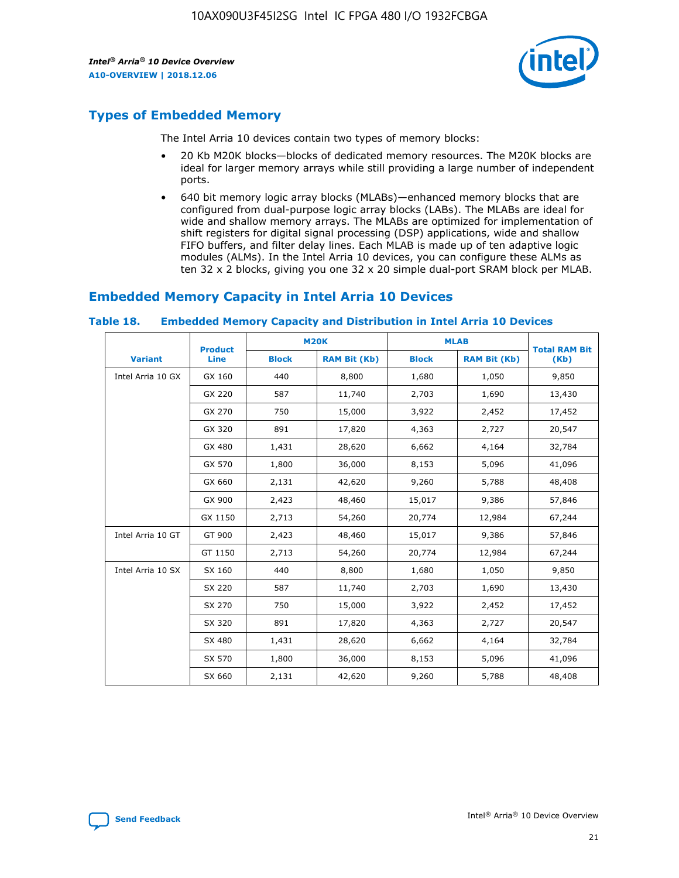

## **Types of Embedded Memory**

The Intel Arria 10 devices contain two types of memory blocks:

- 20 Kb M20K blocks—blocks of dedicated memory resources. The M20K blocks are ideal for larger memory arrays while still providing a large number of independent ports.
- 640 bit memory logic array blocks (MLABs)—enhanced memory blocks that are configured from dual-purpose logic array blocks (LABs). The MLABs are ideal for wide and shallow memory arrays. The MLABs are optimized for implementation of shift registers for digital signal processing (DSP) applications, wide and shallow FIFO buffers, and filter delay lines. Each MLAB is made up of ten adaptive logic modules (ALMs). In the Intel Arria 10 devices, you can configure these ALMs as ten 32 x 2 blocks, giving you one 32 x 20 simple dual-port SRAM block per MLAB.

## **Embedded Memory Capacity in Intel Arria 10 Devices**

|                   | <b>Product</b> |              | <b>M20K</b>         | <b>MLAB</b>  |                     | <b>Total RAM Bit</b> |
|-------------------|----------------|--------------|---------------------|--------------|---------------------|----------------------|
| <b>Variant</b>    | <b>Line</b>    | <b>Block</b> | <b>RAM Bit (Kb)</b> | <b>Block</b> | <b>RAM Bit (Kb)</b> | (Kb)                 |
| Intel Arria 10 GX | GX 160         | 440          | 8,800               | 1,680        | 1,050               | 9,850                |
|                   | GX 220         | 587          | 11,740              | 2,703        | 1,690               | 13,430               |
|                   | GX 270         | 750          | 15,000              | 3,922        | 2,452               | 17,452               |
|                   | GX 320         | 891          | 17,820              | 4,363        | 2,727               | 20,547               |
|                   | GX 480         | 1,431        | 28,620              | 6,662        | 4,164               | 32,784               |
|                   | GX 570         | 1,800        | 36,000              | 8,153        | 5,096               | 41,096               |
|                   | GX 660         | 2,131        | 42,620              | 9,260        | 5,788               | 48,408               |
|                   | GX 900         | 2,423        | 48,460              | 15,017       | 9,386               | 57,846               |
|                   | GX 1150        | 2,713        | 54,260              | 20,774       | 12,984              | 67,244               |
| Intel Arria 10 GT | GT 900         | 2,423        | 48,460              | 15,017       | 9,386               | 57,846               |
|                   | GT 1150        | 2,713        | 54,260              | 20,774       | 12,984              | 67,244               |
| Intel Arria 10 SX | SX 160         | 440          | 8,800               | 1,680        | 1,050               | 9,850                |
|                   | SX 220         | 587          | 11,740              | 2,703        | 1,690               | 13,430               |
|                   | SX 270         | 750          | 15,000              | 3,922        | 2,452               | 17,452               |
|                   | SX 320         | 891          | 17,820              | 4,363        | 2,727               | 20,547               |
|                   | SX 480         | 1,431        | 28,620              | 6,662        | 4,164               | 32,784               |
|                   | SX 570         | 1,800        | 36,000              | 8,153        | 5,096               | 41,096               |
|                   | SX 660         | 2,131        | 42,620              | 9,260        | 5,788               | 48,408               |

#### **Table 18. Embedded Memory Capacity and Distribution in Intel Arria 10 Devices**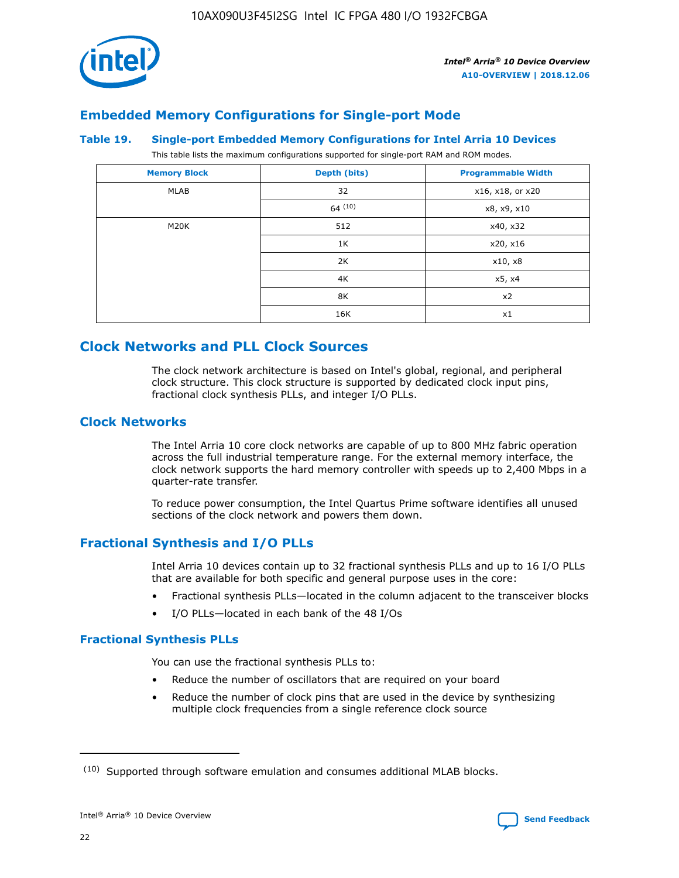

## **Embedded Memory Configurations for Single-port Mode**

#### **Table 19. Single-port Embedded Memory Configurations for Intel Arria 10 Devices**

This table lists the maximum configurations supported for single-port RAM and ROM modes.

| <b>Memory Block</b> | Depth (bits) | <b>Programmable Width</b> |
|---------------------|--------------|---------------------------|
| MLAB                | 32           | x16, x18, or x20          |
|                     | 64(10)       | x8, x9, x10               |
| M20K                | 512          | x40, x32                  |
|                     | 1K           | x20, x16                  |
|                     | 2K           | x10, x8                   |
|                     | 4K           | x5, x4                    |
|                     | 8K           | x2                        |
|                     | 16K          | x1                        |

## **Clock Networks and PLL Clock Sources**

The clock network architecture is based on Intel's global, regional, and peripheral clock structure. This clock structure is supported by dedicated clock input pins, fractional clock synthesis PLLs, and integer I/O PLLs.

## **Clock Networks**

The Intel Arria 10 core clock networks are capable of up to 800 MHz fabric operation across the full industrial temperature range. For the external memory interface, the clock network supports the hard memory controller with speeds up to 2,400 Mbps in a quarter-rate transfer.

To reduce power consumption, the Intel Quartus Prime software identifies all unused sections of the clock network and powers them down.

## **Fractional Synthesis and I/O PLLs**

Intel Arria 10 devices contain up to 32 fractional synthesis PLLs and up to 16 I/O PLLs that are available for both specific and general purpose uses in the core:

- Fractional synthesis PLLs—located in the column adjacent to the transceiver blocks
- I/O PLLs—located in each bank of the 48 I/Os

#### **Fractional Synthesis PLLs**

You can use the fractional synthesis PLLs to:

- Reduce the number of oscillators that are required on your board
- Reduce the number of clock pins that are used in the device by synthesizing multiple clock frequencies from a single reference clock source

<sup>(10)</sup> Supported through software emulation and consumes additional MLAB blocks.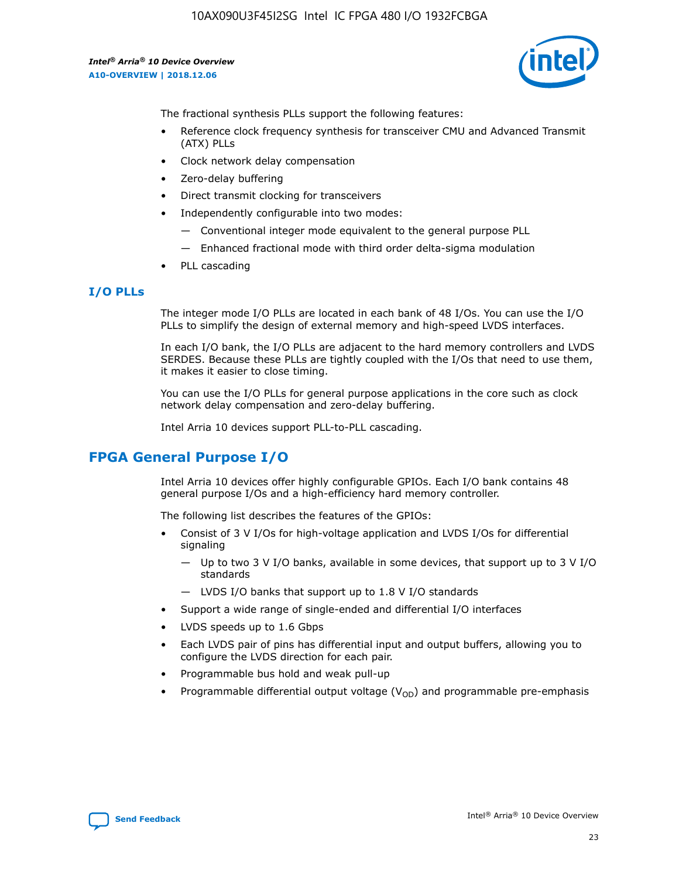

The fractional synthesis PLLs support the following features:

- Reference clock frequency synthesis for transceiver CMU and Advanced Transmit (ATX) PLLs
- Clock network delay compensation
- Zero-delay buffering
- Direct transmit clocking for transceivers
- Independently configurable into two modes:
	- Conventional integer mode equivalent to the general purpose PLL
	- Enhanced fractional mode with third order delta-sigma modulation
- PLL cascading

#### **I/O PLLs**

The integer mode I/O PLLs are located in each bank of 48 I/Os. You can use the I/O PLLs to simplify the design of external memory and high-speed LVDS interfaces.

In each I/O bank, the I/O PLLs are adjacent to the hard memory controllers and LVDS SERDES. Because these PLLs are tightly coupled with the I/Os that need to use them, it makes it easier to close timing.

You can use the I/O PLLs for general purpose applications in the core such as clock network delay compensation and zero-delay buffering.

Intel Arria 10 devices support PLL-to-PLL cascading.

## **FPGA General Purpose I/O**

Intel Arria 10 devices offer highly configurable GPIOs. Each I/O bank contains 48 general purpose I/Os and a high-efficiency hard memory controller.

The following list describes the features of the GPIOs:

- Consist of 3 V I/Os for high-voltage application and LVDS I/Os for differential signaling
	- Up to two 3 V I/O banks, available in some devices, that support up to 3 V I/O standards
	- LVDS I/O banks that support up to 1.8 V I/O standards
- Support a wide range of single-ended and differential I/O interfaces
- LVDS speeds up to 1.6 Gbps
- Each LVDS pair of pins has differential input and output buffers, allowing you to configure the LVDS direction for each pair.
- Programmable bus hold and weak pull-up
- Programmable differential output voltage  $(V_{OD})$  and programmable pre-emphasis

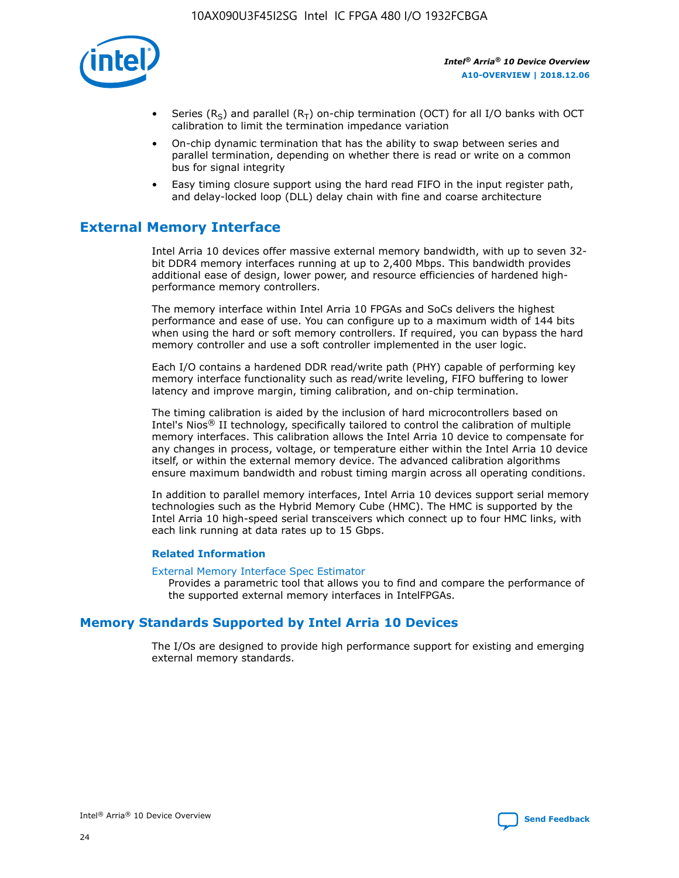

- Series (R<sub>S</sub>) and parallel (R<sub>T</sub>) on-chip termination (OCT) for all I/O banks with OCT calibration to limit the termination impedance variation
- On-chip dynamic termination that has the ability to swap between series and parallel termination, depending on whether there is read or write on a common bus for signal integrity
- Easy timing closure support using the hard read FIFO in the input register path, and delay-locked loop (DLL) delay chain with fine and coarse architecture

## **External Memory Interface**

Intel Arria 10 devices offer massive external memory bandwidth, with up to seven 32 bit DDR4 memory interfaces running at up to 2,400 Mbps. This bandwidth provides additional ease of design, lower power, and resource efficiencies of hardened highperformance memory controllers.

The memory interface within Intel Arria 10 FPGAs and SoCs delivers the highest performance and ease of use. You can configure up to a maximum width of 144 bits when using the hard or soft memory controllers. If required, you can bypass the hard memory controller and use a soft controller implemented in the user logic.

Each I/O contains a hardened DDR read/write path (PHY) capable of performing key memory interface functionality such as read/write leveling, FIFO buffering to lower latency and improve margin, timing calibration, and on-chip termination.

The timing calibration is aided by the inclusion of hard microcontrollers based on Intel's Nios® II technology, specifically tailored to control the calibration of multiple memory interfaces. This calibration allows the Intel Arria 10 device to compensate for any changes in process, voltage, or temperature either within the Intel Arria 10 device itself, or within the external memory device. The advanced calibration algorithms ensure maximum bandwidth and robust timing margin across all operating conditions.

In addition to parallel memory interfaces, Intel Arria 10 devices support serial memory technologies such as the Hybrid Memory Cube (HMC). The HMC is supported by the Intel Arria 10 high-speed serial transceivers which connect up to four HMC links, with each link running at data rates up to 15 Gbps.

#### **Related Information**

#### [External Memory Interface Spec Estimator](http://www.altera.com/technology/memory/estimator/mem-emif-index.html)

Provides a parametric tool that allows you to find and compare the performance of the supported external memory interfaces in IntelFPGAs.

## **Memory Standards Supported by Intel Arria 10 Devices**

The I/Os are designed to provide high performance support for existing and emerging external memory standards.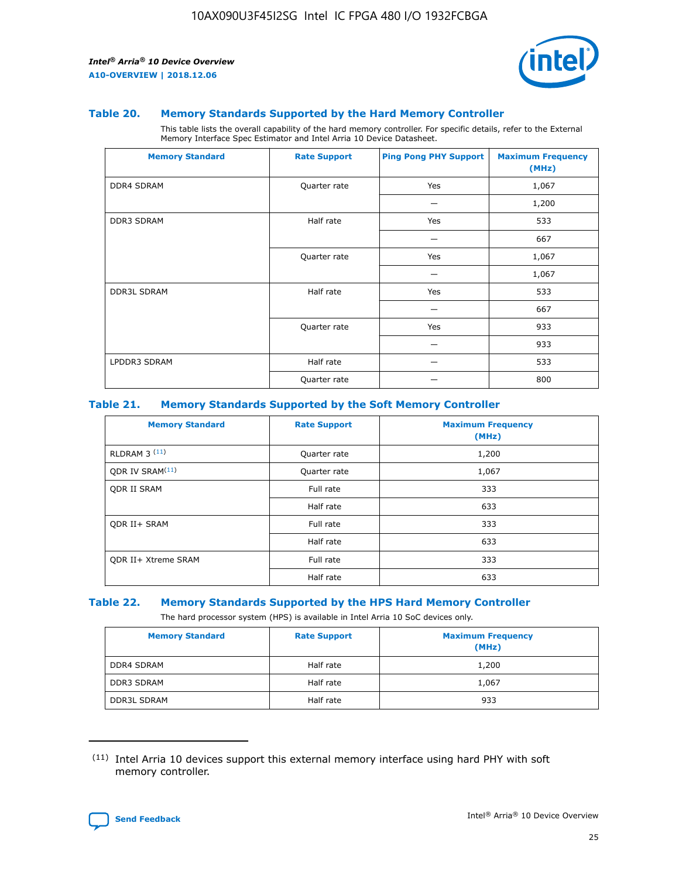

#### **Table 20. Memory Standards Supported by the Hard Memory Controller**

This table lists the overall capability of the hard memory controller. For specific details, refer to the External Memory Interface Spec Estimator and Intel Arria 10 Device Datasheet.

| <b>Memory Standard</b> | <b>Rate Support</b> | <b>Ping Pong PHY Support</b> | <b>Maximum Frequency</b><br>(MHz) |
|------------------------|---------------------|------------------------------|-----------------------------------|
| <b>DDR4 SDRAM</b>      | Quarter rate        | Yes                          | 1,067                             |
|                        |                     |                              | 1,200                             |
| DDR3 SDRAM             | Half rate           | Yes                          | 533                               |
|                        |                     |                              | 667                               |
|                        | Quarter rate        | Yes                          | 1,067                             |
|                        |                     |                              | 1,067                             |
| <b>DDR3L SDRAM</b>     | Half rate           | Yes                          | 533                               |
|                        |                     |                              | 667                               |
|                        | Quarter rate        | Yes                          | 933                               |
|                        |                     |                              | 933                               |
| LPDDR3 SDRAM           | Half rate           |                              | 533                               |
|                        | Quarter rate        |                              | 800                               |

#### **Table 21. Memory Standards Supported by the Soft Memory Controller**

| <b>Memory Standard</b>      | <b>Rate Support</b> | <b>Maximum Frequency</b><br>(MHz) |
|-----------------------------|---------------------|-----------------------------------|
| <b>RLDRAM 3 (11)</b>        | Quarter rate        | 1,200                             |
| ODR IV SRAM <sup>(11)</sup> | Quarter rate        | 1,067                             |
| <b>ODR II SRAM</b>          | Full rate           | 333                               |
|                             | Half rate           | 633                               |
| <b>ODR II+ SRAM</b>         | Full rate           | 333                               |
|                             | Half rate           | 633                               |
| <b>ODR II+ Xtreme SRAM</b>  | Full rate           | 333                               |
|                             | Half rate           | 633                               |

#### **Table 22. Memory Standards Supported by the HPS Hard Memory Controller**

The hard processor system (HPS) is available in Intel Arria 10 SoC devices only.

| <b>Memory Standard</b> | <b>Rate Support</b> | <b>Maximum Frequency</b><br>(MHz) |
|------------------------|---------------------|-----------------------------------|
| <b>DDR4 SDRAM</b>      | Half rate           | 1,200                             |
| DDR3 SDRAM             | Half rate           | 1,067                             |
| <b>DDR3L SDRAM</b>     | Half rate           | 933                               |

<sup>(11)</sup> Intel Arria 10 devices support this external memory interface using hard PHY with soft memory controller.

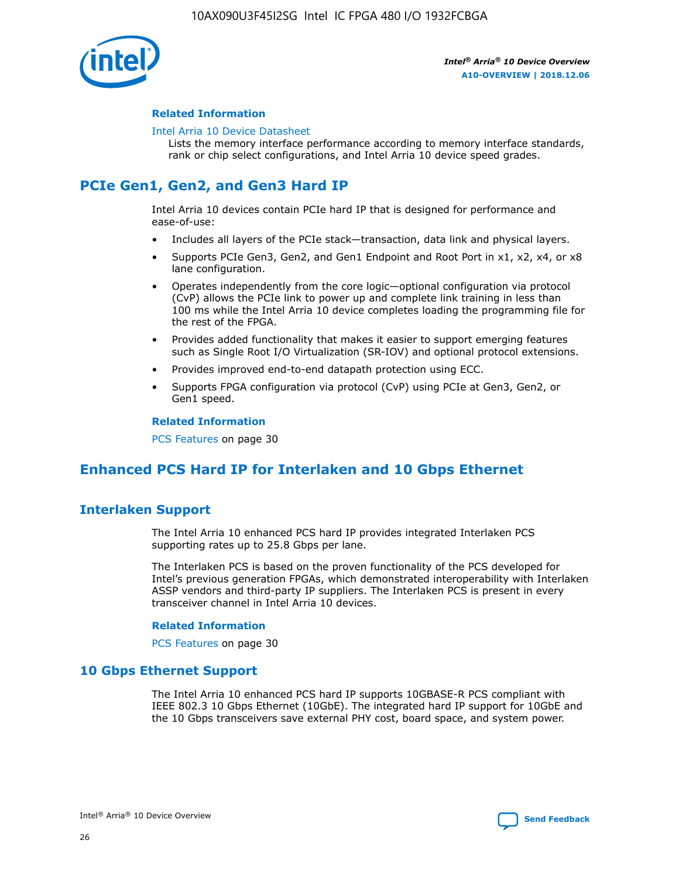

#### **Related Information**

#### [Intel Arria 10 Device Datasheet](https://www.intel.com/content/www/us/en/programmable/documentation/mcn1413182292568.html#mcn1413182153340)

Lists the memory interface performance according to memory interface standards, rank or chip select configurations, and Intel Arria 10 device speed grades.

# **PCIe Gen1, Gen2, and Gen3 Hard IP**

Intel Arria 10 devices contain PCIe hard IP that is designed for performance and ease-of-use:

- Includes all layers of the PCIe stack—transaction, data link and physical layers.
- Supports PCIe Gen3, Gen2, and Gen1 Endpoint and Root Port in x1, x2, x4, or x8 lane configuration.
- Operates independently from the core logic—optional configuration via protocol (CvP) allows the PCIe link to power up and complete link training in less than 100 ms while the Intel Arria 10 device completes loading the programming file for the rest of the FPGA.
- Provides added functionality that makes it easier to support emerging features such as Single Root I/O Virtualization (SR-IOV) and optional protocol extensions.
- Provides improved end-to-end datapath protection using ECC.
- Supports FPGA configuration via protocol (CvP) using PCIe at Gen3, Gen2, or Gen1 speed.

#### **Related Information**

PCS Features on page 30

## **Enhanced PCS Hard IP for Interlaken and 10 Gbps Ethernet**

## **Interlaken Support**

The Intel Arria 10 enhanced PCS hard IP provides integrated Interlaken PCS supporting rates up to 25.8 Gbps per lane.

The Interlaken PCS is based on the proven functionality of the PCS developed for Intel's previous generation FPGAs, which demonstrated interoperability with Interlaken ASSP vendors and third-party IP suppliers. The Interlaken PCS is present in every transceiver channel in Intel Arria 10 devices.

#### **Related Information**

PCS Features on page 30

## **10 Gbps Ethernet Support**

The Intel Arria 10 enhanced PCS hard IP supports 10GBASE-R PCS compliant with IEEE 802.3 10 Gbps Ethernet (10GbE). The integrated hard IP support for 10GbE and the 10 Gbps transceivers save external PHY cost, board space, and system power.

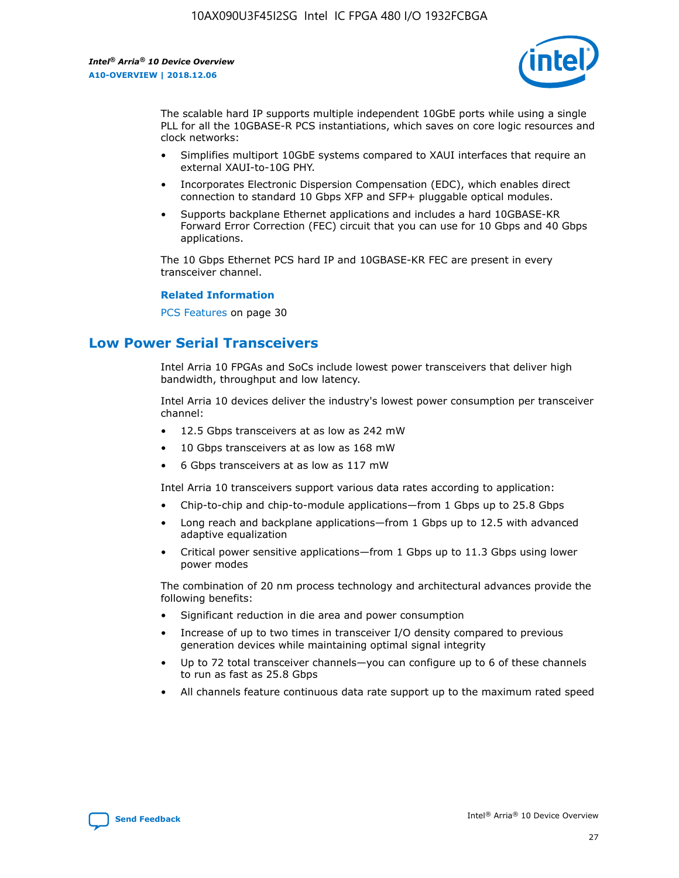

The scalable hard IP supports multiple independent 10GbE ports while using a single PLL for all the 10GBASE-R PCS instantiations, which saves on core logic resources and clock networks:

- Simplifies multiport 10GbE systems compared to XAUI interfaces that require an external XAUI-to-10G PHY.
- Incorporates Electronic Dispersion Compensation (EDC), which enables direct connection to standard 10 Gbps XFP and SFP+ pluggable optical modules.
- Supports backplane Ethernet applications and includes a hard 10GBASE-KR Forward Error Correction (FEC) circuit that you can use for 10 Gbps and 40 Gbps applications.

The 10 Gbps Ethernet PCS hard IP and 10GBASE-KR FEC are present in every transceiver channel.

#### **Related Information**

PCS Features on page 30

## **Low Power Serial Transceivers**

Intel Arria 10 FPGAs and SoCs include lowest power transceivers that deliver high bandwidth, throughput and low latency.

Intel Arria 10 devices deliver the industry's lowest power consumption per transceiver channel:

- 12.5 Gbps transceivers at as low as 242 mW
- 10 Gbps transceivers at as low as 168 mW
- 6 Gbps transceivers at as low as 117 mW

Intel Arria 10 transceivers support various data rates according to application:

- Chip-to-chip and chip-to-module applications—from 1 Gbps up to 25.8 Gbps
- Long reach and backplane applications—from 1 Gbps up to 12.5 with advanced adaptive equalization
- Critical power sensitive applications—from 1 Gbps up to 11.3 Gbps using lower power modes

The combination of 20 nm process technology and architectural advances provide the following benefits:

- Significant reduction in die area and power consumption
- Increase of up to two times in transceiver I/O density compared to previous generation devices while maintaining optimal signal integrity
- Up to 72 total transceiver channels—you can configure up to 6 of these channels to run as fast as 25.8 Gbps
- All channels feature continuous data rate support up to the maximum rated speed

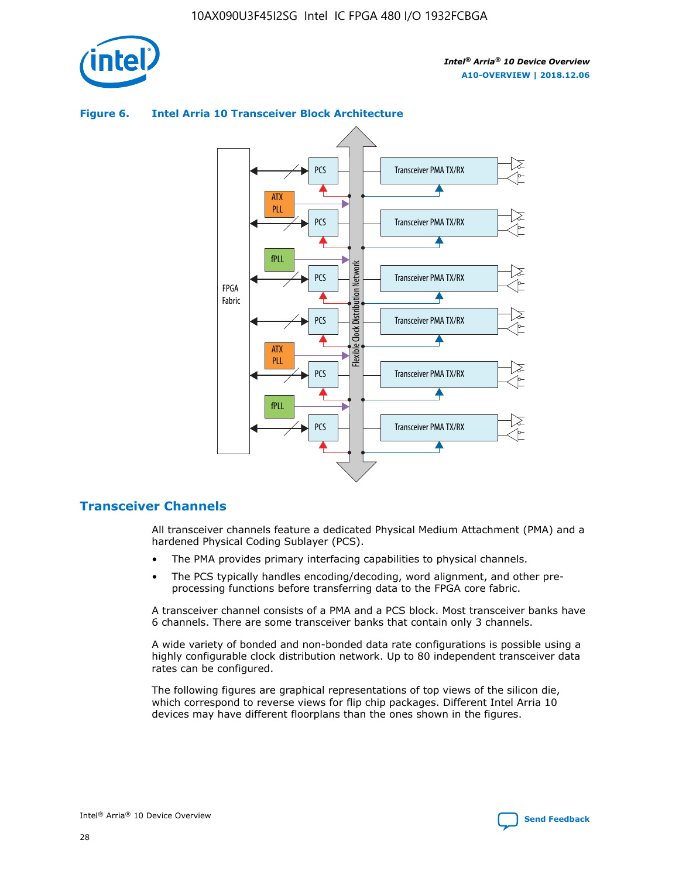

## Transceiver PMA TX/RX PCS ATX PLL Transceiver PMA TX/RX PCS fPLL Network Flexible Clock Distribution Network PCS Transceiver PMA TX/RX FPGA **Clock Distribution** Fabric PCS Transceiver PMA TX/RX ATX Flexible PLL PCS Transceiver PMA TX/RX ▲ fPLL Transceiver PMA TX/RX PCS 4

### **Figure 6. Intel Arria 10 Transceiver Block Architecture**

## **Transceiver Channels**

All transceiver channels feature a dedicated Physical Medium Attachment (PMA) and a hardened Physical Coding Sublayer (PCS).

- The PMA provides primary interfacing capabilities to physical channels.
- The PCS typically handles encoding/decoding, word alignment, and other preprocessing functions before transferring data to the FPGA core fabric.

A transceiver channel consists of a PMA and a PCS block. Most transceiver banks have 6 channels. There are some transceiver banks that contain only 3 channels.

A wide variety of bonded and non-bonded data rate configurations is possible using a highly configurable clock distribution network. Up to 80 independent transceiver data rates can be configured.

The following figures are graphical representations of top views of the silicon die, which correspond to reverse views for flip chip packages. Different Intel Arria 10 devices may have different floorplans than the ones shown in the figures.

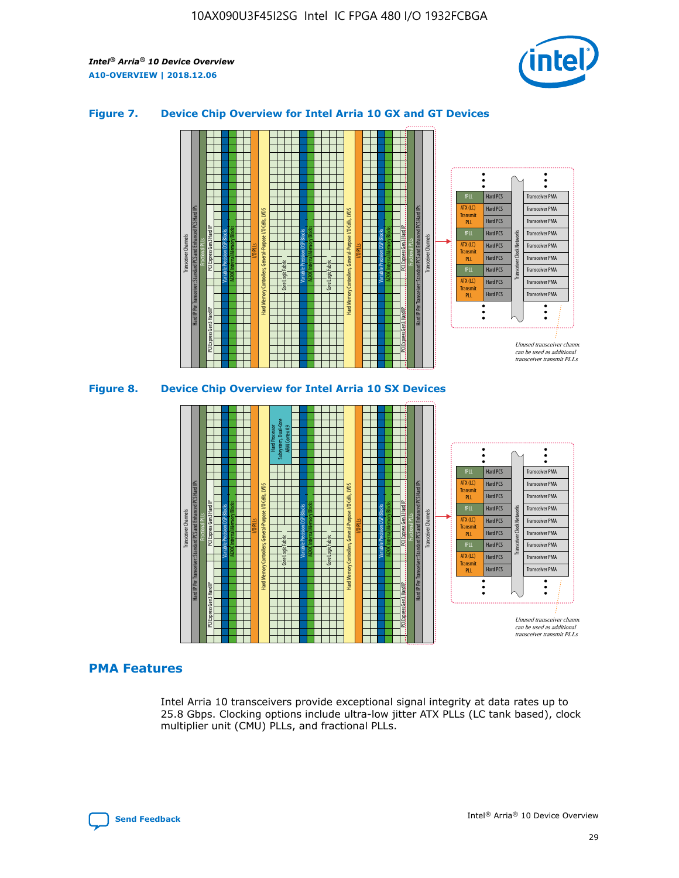

## **Figure 7. Device Chip Overview for Intel Arria 10 GX and GT Devices**





## **PMA Features**

Intel Arria 10 transceivers provide exceptional signal integrity at data rates up to 25.8 Gbps. Clocking options include ultra-low jitter ATX PLLs (LC tank based), clock multiplier unit (CMU) PLLs, and fractional PLLs.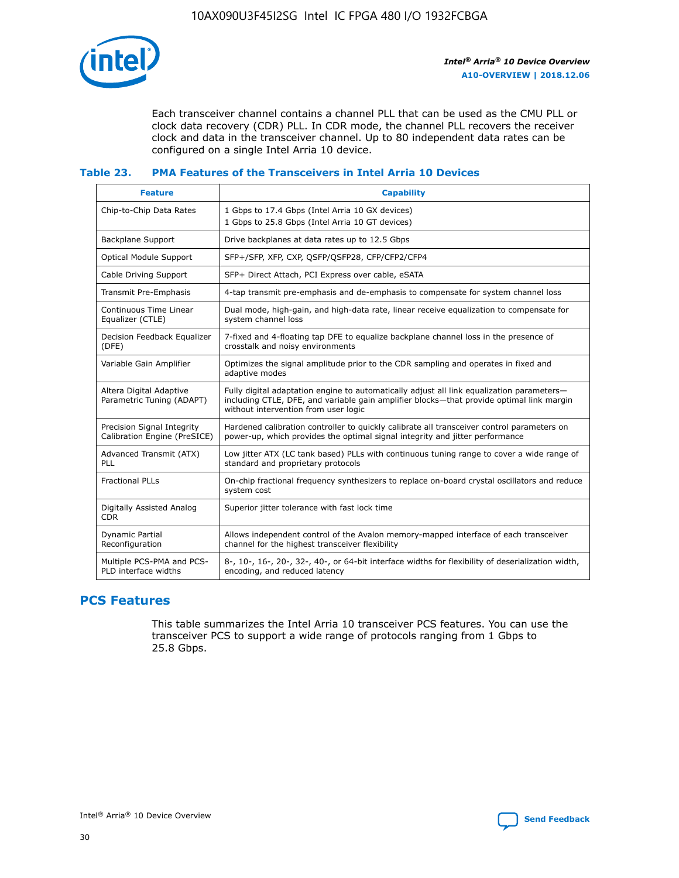

Each transceiver channel contains a channel PLL that can be used as the CMU PLL or clock data recovery (CDR) PLL. In CDR mode, the channel PLL recovers the receiver clock and data in the transceiver channel. Up to 80 independent data rates can be configured on a single Intel Arria 10 device.

### **Table 23. PMA Features of the Transceivers in Intel Arria 10 Devices**

| <b>Feature</b>                                             | <b>Capability</b>                                                                                                                                                                                                             |
|------------------------------------------------------------|-------------------------------------------------------------------------------------------------------------------------------------------------------------------------------------------------------------------------------|
| Chip-to-Chip Data Rates                                    | 1 Gbps to 17.4 Gbps (Intel Arria 10 GX devices)<br>1 Gbps to 25.8 Gbps (Intel Arria 10 GT devices)                                                                                                                            |
| <b>Backplane Support</b>                                   | Drive backplanes at data rates up to 12.5 Gbps                                                                                                                                                                                |
| <b>Optical Module Support</b>                              | SFP+/SFP, XFP, CXP, QSFP/QSFP28, CFP/CFP2/CFP4                                                                                                                                                                                |
| Cable Driving Support                                      | SFP+ Direct Attach, PCI Express over cable, eSATA                                                                                                                                                                             |
| Transmit Pre-Emphasis                                      | 4-tap transmit pre-emphasis and de-emphasis to compensate for system channel loss                                                                                                                                             |
| Continuous Time Linear<br>Equalizer (CTLE)                 | Dual mode, high-gain, and high-data rate, linear receive equalization to compensate for<br>system channel loss                                                                                                                |
| Decision Feedback Equalizer<br>(DFE)                       | 7-fixed and 4-floating tap DFE to equalize backplane channel loss in the presence of<br>crosstalk and noisy environments                                                                                                      |
| Variable Gain Amplifier                                    | Optimizes the signal amplitude prior to the CDR sampling and operates in fixed and<br>adaptive modes                                                                                                                          |
| Altera Digital Adaptive<br>Parametric Tuning (ADAPT)       | Fully digital adaptation engine to automatically adjust all link equalization parameters-<br>including CTLE, DFE, and variable gain amplifier blocks—that provide optimal link margin<br>without intervention from user logic |
| Precision Signal Integrity<br>Calibration Engine (PreSICE) | Hardened calibration controller to quickly calibrate all transceiver control parameters on<br>power-up, which provides the optimal signal integrity and jitter performance                                                    |
| Advanced Transmit (ATX)<br><b>PLL</b>                      | Low jitter ATX (LC tank based) PLLs with continuous tuning range to cover a wide range of<br>standard and proprietary protocols                                                                                               |
| <b>Fractional PLLs</b>                                     | On-chip fractional frequency synthesizers to replace on-board crystal oscillators and reduce<br>system cost                                                                                                                   |
| Digitally Assisted Analog<br><b>CDR</b>                    | Superior jitter tolerance with fast lock time                                                                                                                                                                                 |
| <b>Dynamic Partial</b><br>Reconfiguration                  | Allows independent control of the Avalon memory-mapped interface of each transceiver<br>channel for the highest transceiver flexibility                                                                                       |
| Multiple PCS-PMA and PCS-<br>PLD interface widths          | 8-, 10-, 16-, 20-, 32-, 40-, or 64-bit interface widths for flexibility of deserialization width,<br>encoding, and reduced latency                                                                                            |

## **PCS Features**

This table summarizes the Intel Arria 10 transceiver PCS features. You can use the transceiver PCS to support a wide range of protocols ranging from 1 Gbps to 25.8 Gbps.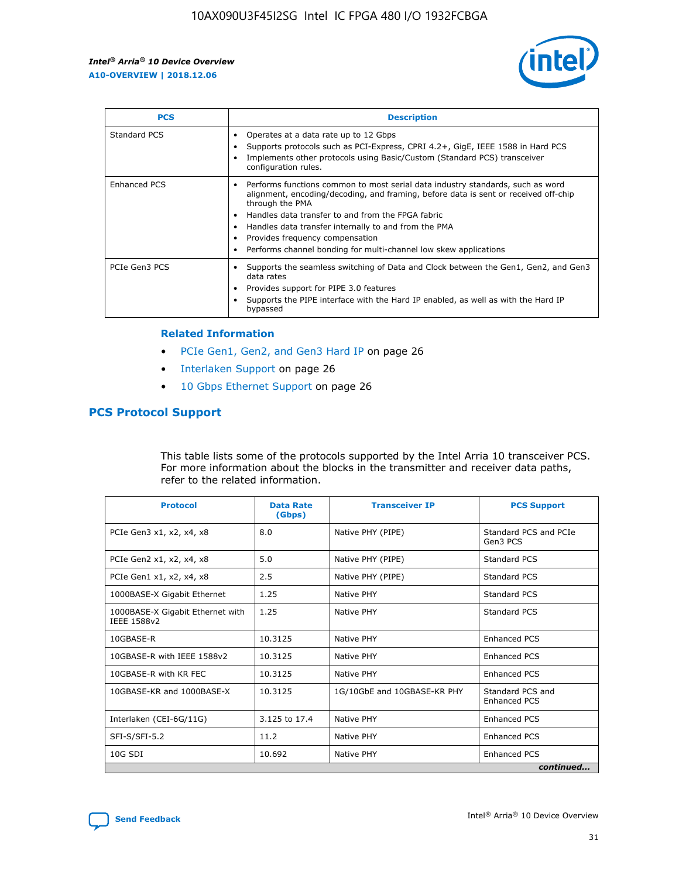

| <b>PCS</b>          | <b>Description</b>                                                                                                                                                                                                                                                                                                                                                                                             |
|---------------------|----------------------------------------------------------------------------------------------------------------------------------------------------------------------------------------------------------------------------------------------------------------------------------------------------------------------------------------------------------------------------------------------------------------|
| Standard PCS        | Operates at a data rate up to 12 Gbps<br>Supports protocols such as PCI-Express, CPRI 4.2+, GigE, IEEE 1588 in Hard PCS<br>Implements other protocols using Basic/Custom (Standard PCS) transceiver<br>configuration rules.                                                                                                                                                                                    |
| <b>Enhanced PCS</b> | Performs functions common to most serial data industry standards, such as word<br>alignment, encoding/decoding, and framing, before data is sent or received off-chip<br>through the PMA<br>• Handles data transfer to and from the FPGA fabric<br>Handles data transfer internally to and from the PMA<br>Provides frequency compensation<br>Performs channel bonding for multi-channel low skew applications |
| PCIe Gen3 PCS       | Supports the seamless switching of Data and Clock between the Gen1, Gen2, and Gen3<br>data rates<br>Provides support for PIPE 3.0 features<br>Supports the PIPE interface with the Hard IP enabled, as well as with the Hard IP<br>bypassed                                                                                                                                                                    |

#### **Related Information**

- PCIe Gen1, Gen2, and Gen3 Hard IP on page 26
- Interlaken Support on page 26
- 10 Gbps Ethernet Support on page 26

## **PCS Protocol Support**

This table lists some of the protocols supported by the Intel Arria 10 transceiver PCS. For more information about the blocks in the transmitter and receiver data paths, refer to the related information.

| <b>Protocol</b>                                 | <b>Data Rate</b><br>(Gbps) | <b>Transceiver IP</b>       | <b>PCS Support</b>                      |
|-------------------------------------------------|----------------------------|-----------------------------|-----------------------------------------|
| PCIe Gen3 x1, x2, x4, x8                        | 8.0                        | Native PHY (PIPE)           | Standard PCS and PCIe<br>Gen3 PCS       |
| PCIe Gen2 x1, x2, x4, x8                        | 5.0                        | Native PHY (PIPE)           | <b>Standard PCS</b>                     |
| PCIe Gen1 x1, x2, x4, x8                        | 2.5                        | Native PHY (PIPE)           | Standard PCS                            |
| 1000BASE-X Gigabit Ethernet                     | 1.25                       | Native PHY                  | <b>Standard PCS</b>                     |
| 1000BASE-X Gigabit Ethernet with<br>IEEE 1588v2 | 1.25                       | Native PHY                  | Standard PCS                            |
| 10GBASE-R                                       | 10.3125                    | Native PHY                  | <b>Enhanced PCS</b>                     |
| 10GBASE-R with IEEE 1588v2                      | 10.3125                    | Native PHY                  | <b>Enhanced PCS</b>                     |
| 10GBASE-R with KR FEC                           | 10.3125                    | Native PHY                  | <b>Enhanced PCS</b>                     |
| 10GBASE-KR and 1000BASE-X                       | 10.3125                    | 1G/10GbE and 10GBASE-KR PHY | Standard PCS and<br><b>Enhanced PCS</b> |
| Interlaken (CEI-6G/11G)                         | 3.125 to 17.4              | Native PHY                  | <b>Enhanced PCS</b>                     |
| SFI-S/SFI-5.2                                   | 11.2                       | Native PHY                  | <b>Enhanced PCS</b>                     |
| $10G$ SDI                                       | 10.692                     | Native PHY                  | <b>Enhanced PCS</b>                     |
|                                                 |                            |                             | continued                               |

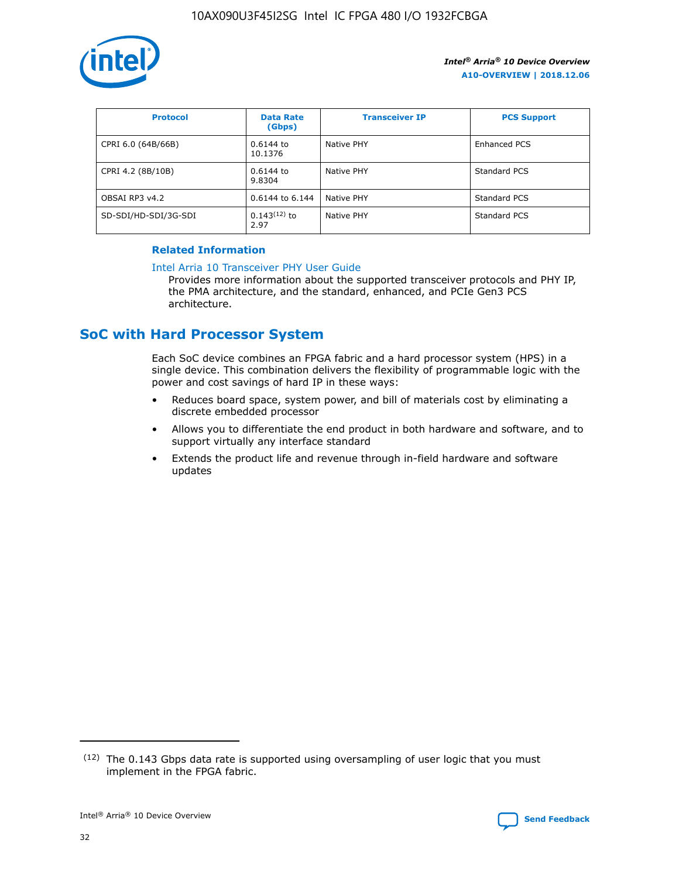

| <b>Protocol</b>      | <b>Data Rate</b><br>(Gbps) | <b>Transceiver IP</b> | <b>PCS Support</b> |
|----------------------|----------------------------|-----------------------|--------------------|
| CPRI 6.0 (64B/66B)   | 0.6144 to<br>10.1376       | Native PHY            | Enhanced PCS       |
| CPRI 4.2 (8B/10B)    | 0.6144 to<br>9.8304        | Native PHY            | Standard PCS       |
| OBSAI RP3 v4.2       | 0.6144 to 6.144            | Native PHY            | Standard PCS       |
| SD-SDI/HD-SDI/3G-SDI | $0.143(12)$ to<br>2.97     | Native PHY            | Standard PCS       |

## **Related Information**

#### [Intel Arria 10 Transceiver PHY User Guide](https://www.intel.com/content/www/us/en/programmable/documentation/nik1398707230472.html#nik1398707091164)

Provides more information about the supported transceiver protocols and PHY IP, the PMA architecture, and the standard, enhanced, and PCIe Gen3 PCS architecture.

## **SoC with Hard Processor System**

Each SoC device combines an FPGA fabric and a hard processor system (HPS) in a single device. This combination delivers the flexibility of programmable logic with the power and cost savings of hard IP in these ways:

- Reduces board space, system power, and bill of materials cost by eliminating a discrete embedded processor
- Allows you to differentiate the end product in both hardware and software, and to support virtually any interface standard
- Extends the product life and revenue through in-field hardware and software updates

 $(12)$  The 0.143 Gbps data rate is supported using oversampling of user logic that you must implement in the FPGA fabric.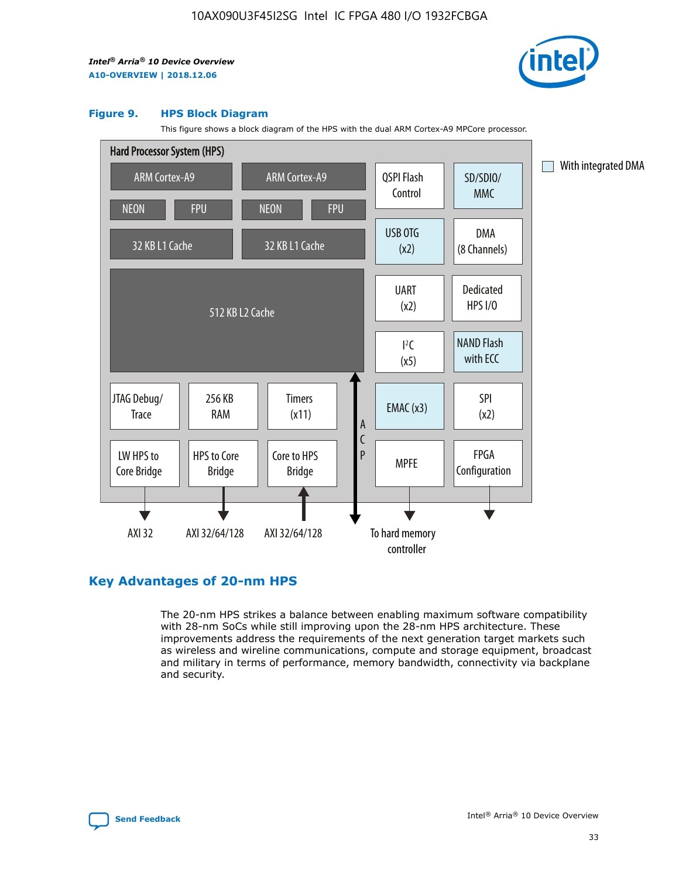

#### **Figure 9. HPS Block Diagram**

This figure shows a block diagram of the HPS with the dual ARM Cortex-A9 MPCore processor.



## **Key Advantages of 20-nm HPS**

The 20-nm HPS strikes a balance between enabling maximum software compatibility with 28-nm SoCs while still improving upon the 28-nm HPS architecture. These improvements address the requirements of the next generation target markets such as wireless and wireline communications, compute and storage equipment, broadcast and military in terms of performance, memory bandwidth, connectivity via backplane and security.

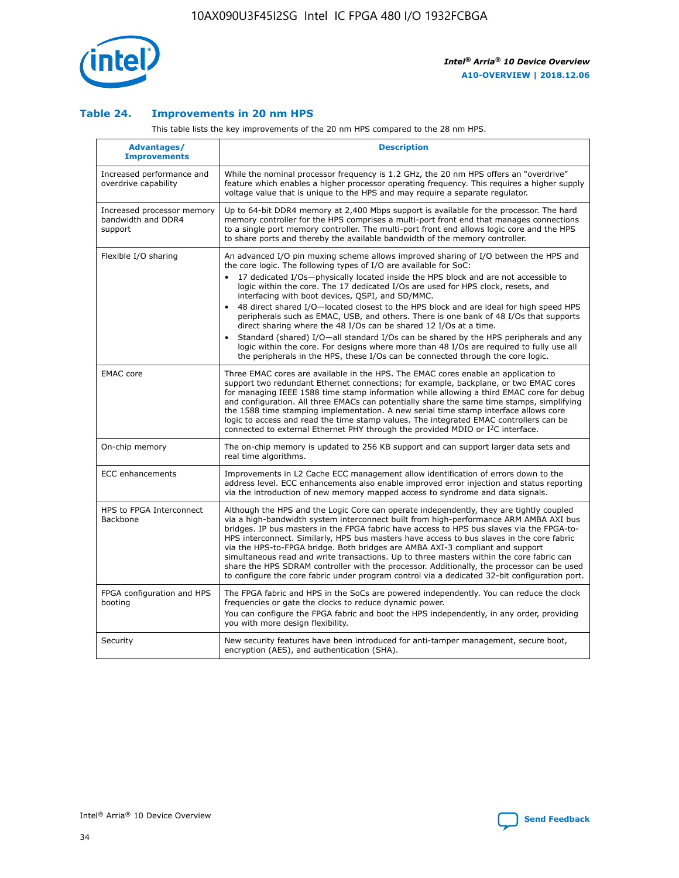

## **Table 24. Improvements in 20 nm HPS**

This table lists the key improvements of the 20 nm HPS compared to the 28 nm HPS.

| Advantages/<br><b>Improvements</b>                          | <b>Description</b>                                                                                                                                                                                                                                                                                                                                                                                                                                                                                                                                                                                                                                                                                                                                                                                                                                                                                                                                |
|-------------------------------------------------------------|---------------------------------------------------------------------------------------------------------------------------------------------------------------------------------------------------------------------------------------------------------------------------------------------------------------------------------------------------------------------------------------------------------------------------------------------------------------------------------------------------------------------------------------------------------------------------------------------------------------------------------------------------------------------------------------------------------------------------------------------------------------------------------------------------------------------------------------------------------------------------------------------------------------------------------------------------|
| Increased performance and<br>overdrive capability           | While the nominal processor frequency is 1.2 GHz, the 20 nm HPS offers an "overdrive"<br>feature which enables a higher processor operating frequency. This requires a higher supply<br>voltage value that is unique to the HPS and may require a separate regulator.                                                                                                                                                                                                                                                                                                                                                                                                                                                                                                                                                                                                                                                                             |
| Increased processor memory<br>bandwidth and DDR4<br>support | Up to 64-bit DDR4 memory at 2,400 Mbps support is available for the processor. The hard<br>memory controller for the HPS comprises a multi-port front end that manages connections<br>to a single port memory controller. The multi-port front end allows logic core and the HPS<br>to share ports and thereby the available bandwidth of the memory controller.                                                                                                                                                                                                                                                                                                                                                                                                                                                                                                                                                                                  |
| Flexible I/O sharing                                        | An advanced I/O pin muxing scheme allows improved sharing of I/O between the HPS and<br>the core logic. The following types of I/O are available for SoC:<br>$\bullet$<br>17 dedicated I/Os-physically located inside the HPS block and are not accessible to<br>logic within the core. The 17 dedicated I/Os are used for HPS clock, resets, and<br>interfacing with boot devices, QSPI, and SD/MMC.<br>48 direct shared I/O-located closest to the HPS block and are ideal for high speed HPS<br>$\bullet$<br>peripherals such as EMAC, USB, and others. There is one bank of 48 I/Os that supports<br>direct sharing where the 48 I/Os can be shared 12 I/Os at a time.<br>Standard (shared) I/O-all standard I/Os can be shared by the HPS peripherals and any<br>logic within the core. For designs where more than 48 I/Os are required to fully use all<br>the peripherals in the HPS, these I/Os can be connected through the core logic. |
| <b>EMAC</b> core                                            | Three EMAC cores are available in the HPS. The EMAC cores enable an application to<br>support two redundant Ethernet connections; for example, backplane, or two EMAC cores<br>for managing IEEE 1588 time stamp information while allowing a third EMAC core for debug<br>and configuration. All three EMACs can potentially share the same time stamps, simplifying<br>the 1588 time stamping implementation. A new serial time stamp interface allows core<br>logic to access and read the time stamp values. The integrated EMAC controllers can be<br>connected to external Ethernet PHY through the provided MDIO or I <sup>2</sup> C interface.                                                                                                                                                                                                                                                                                            |
| On-chip memory                                              | The on-chip memory is updated to 256 KB support and can support larger data sets and<br>real time algorithms.                                                                                                                                                                                                                                                                                                                                                                                                                                                                                                                                                                                                                                                                                                                                                                                                                                     |
| <b>ECC</b> enhancements                                     | Improvements in L2 Cache ECC management allow identification of errors down to the<br>address level. ECC enhancements also enable improved error injection and status reporting<br>via the introduction of new memory mapped access to syndrome and data signals.                                                                                                                                                                                                                                                                                                                                                                                                                                                                                                                                                                                                                                                                                 |
| HPS to FPGA Interconnect<br>Backbone                        | Although the HPS and the Logic Core can operate independently, they are tightly coupled<br>via a high-bandwidth system interconnect built from high-performance ARM AMBA AXI bus<br>bridges. IP bus masters in the FPGA fabric have access to HPS bus slaves via the FPGA-to-<br>HPS interconnect. Similarly, HPS bus masters have access to bus slaves in the core fabric<br>via the HPS-to-FPGA bridge. Both bridges are AMBA AXI-3 compliant and support<br>simultaneous read and write transactions. Up to three masters within the core fabric can<br>share the HPS SDRAM controller with the processor. Additionally, the processor can be used<br>to configure the core fabric under program control via a dedicated 32-bit configuration port.                                                                                                                                                                                            |
| FPGA configuration and HPS<br>booting                       | The FPGA fabric and HPS in the SoCs are powered independently. You can reduce the clock<br>frequencies or gate the clocks to reduce dynamic power.<br>You can configure the FPGA fabric and boot the HPS independently, in any order, providing<br>you with more design flexibility.                                                                                                                                                                                                                                                                                                                                                                                                                                                                                                                                                                                                                                                              |
| Security                                                    | New security features have been introduced for anti-tamper management, secure boot,<br>encryption (AES), and authentication (SHA).                                                                                                                                                                                                                                                                                                                                                                                                                                                                                                                                                                                                                                                                                                                                                                                                                |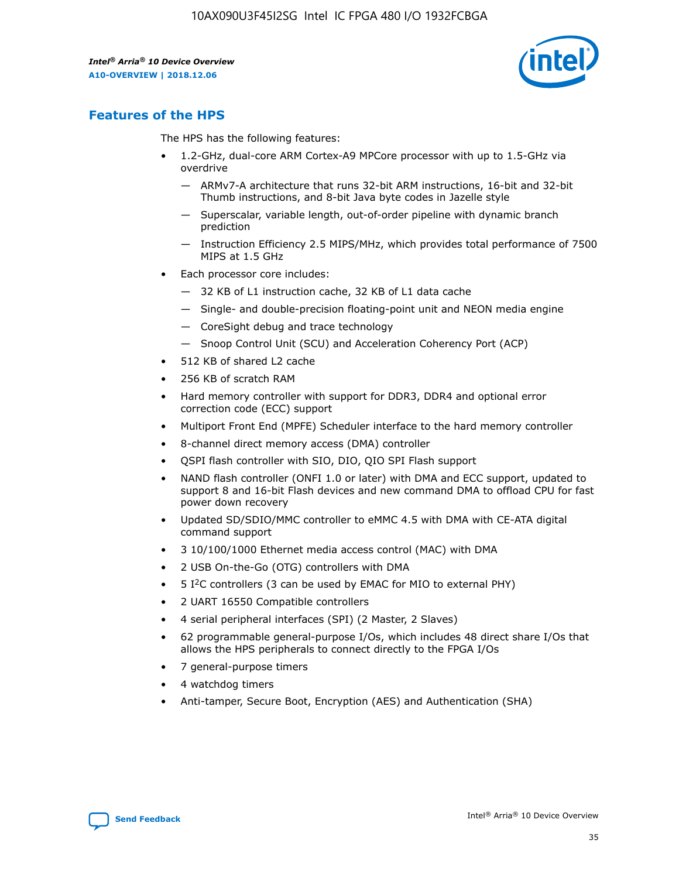

## **Features of the HPS**

The HPS has the following features:

- 1.2-GHz, dual-core ARM Cortex-A9 MPCore processor with up to 1.5-GHz via overdrive
	- ARMv7-A architecture that runs 32-bit ARM instructions, 16-bit and 32-bit Thumb instructions, and 8-bit Java byte codes in Jazelle style
	- Superscalar, variable length, out-of-order pipeline with dynamic branch prediction
	- Instruction Efficiency 2.5 MIPS/MHz, which provides total performance of 7500 MIPS at 1.5 GHz
- Each processor core includes:
	- 32 KB of L1 instruction cache, 32 KB of L1 data cache
	- Single- and double-precision floating-point unit and NEON media engine
	- CoreSight debug and trace technology
	- Snoop Control Unit (SCU) and Acceleration Coherency Port (ACP)
- 512 KB of shared L2 cache
- 256 KB of scratch RAM
- Hard memory controller with support for DDR3, DDR4 and optional error correction code (ECC) support
- Multiport Front End (MPFE) Scheduler interface to the hard memory controller
- 8-channel direct memory access (DMA) controller
- QSPI flash controller with SIO, DIO, QIO SPI Flash support
- NAND flash controller (ONFI 1.0 or later) with DMA and ECC support, updated to support 8 and 16-bit Flash devices and new command DMA to offload CPU for fast power down recovery
- Updated SD/SDIO/MMC controller to eMMC 4.5 with DMA with CE-ATA digital command support
- 3 10/100/1000 Ethernet media access control (MAC) with DMA
- 2 USB On-the-Go (OTG) controllers with DMA
- $\bullet$  5 I<sup>2</sup>C controllers (3 can be used by EMAC for MIO to external PHY)
- 2 UART 16550 Compatible controllers
- 4 serial peripheral interfaces (SPI) (2 Master, 2 Slaves)
- 62 programmable general-purpose I/Os, which includes 48 direct share I/Os that allows the HPS peripherals to connect directly to the FPGA I/Os
- 7 general-purpose timers
- 4 watchdog timers
- Anti-tamper, Secure Boot, Encryption (AES) and Authentication (SHA)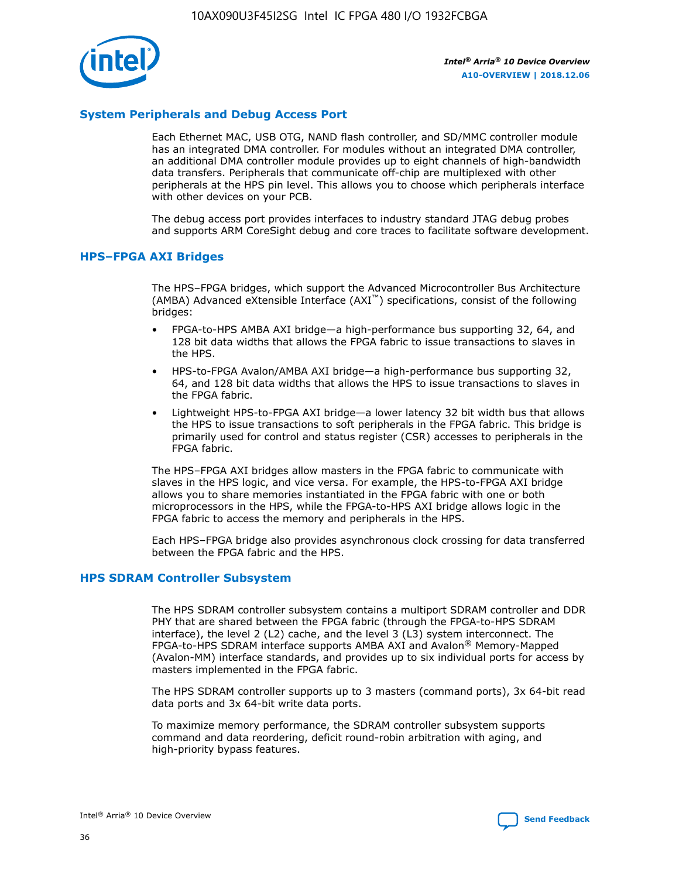

## **System Peripherals and Debug Access Port**

Each Ethernet MAC, USB OTG, NAND flash controller, and SD/MMC controller module has an integrated DMA controller. For modules without an integrated DMA controller, an additional DMA controller module provides up to eight channels of high-bandwidth data transfers. Peripherals that communicate off-chip are multiplexed with other peripherals at the HPS pin level. This allows you to choose which peripherals interface with other devices on your PCB.

The debug access port provides interfaces to industry standard JTAG debug probes and supports ARM CoreSight debug and core traces to facilitate software development.

## **HPS–FPGA AXI Bridges**

The HPS–FPGA bridges, which support the Advanced Microcontroller Bus Architecture (AMBA) Advanced eXtensible Interface (AXI™) specifications, consist of the following bridges:

- FPGA-to-HPS AMBA AXI bridge—a high-performance bus supporting 32, 64, and 128 bit data widths that allows the FPGA fabric to issue transactions to slaves in the HPS.
- HPS-to-FPGA Avalon/AMBA AXI bridge—a high-performance bus supporting 32, 64, and 128 bit data widths that allows the HPS to issue transactions to slaves in the FPGA fabric.
- Lightweight HPS-to-FPGA AXI bridge—a lower latency 32 bit width bus that allows the HPS to issue transactions to soft peripherals in the FPGA fabric. This bridge is primarily used for control and status register (CSR) accesses to peripherals in the FPGA fabric.

The HPS–FPGA AXI bridges allow masters in the FPGA fabric to communicate with slaves in the HPS logic, and vice versa. For example, the HPS-to-FPGA AXI bridge allows you to share memories instantiated in the FPGA fabric with one or both microprocessors in the HPS, while the FPGA-to-HPS AXI bridge allows logic in the FPGA fabric to access the memory and peripherals in the HPS.

Each HPS–FPGA bridge also provides asynchronous clock crossing for data transferred between the FPGA fabric and the HPS.

#### **HPS SDRAM Controller Subsystem**

The HPS SDRAM controller subsystem contains a multiport SDRAM controller and DDR PHY that are shared between the FPGA fabric (through the FPGA-to-HPS SDRAM interface), the level 2 (L2) cache, and the level 3 (L3) system interconnect. The FPGA-to-HPS SDRAM interface supports AMBA AXI and Avalon® Memory-Mapped (Avalon-MM) interface standards, and provides up to six individual ports for access by masters implemented in the FPGA fabric.

The HPS SDRAM controller supports up to 3 masters (command ports), 3x 64-bit read data ports and 3x 64-bit write data ports.

To maximize memory performance, the SDRAM controller subsystem supports command and data reordering, deficit round-robin arbitration with aging, and high-priority bypass features.

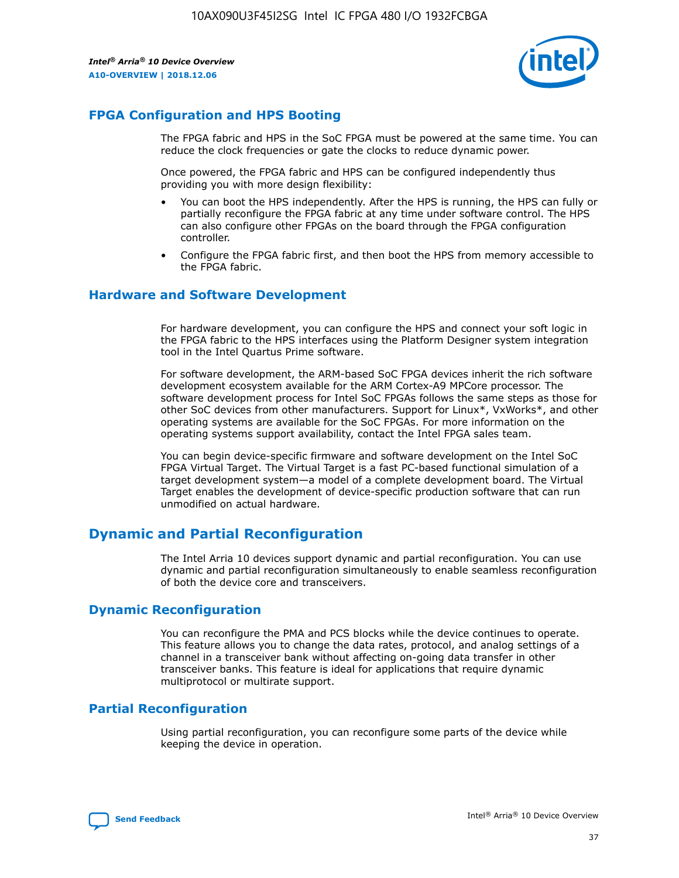

## **FPGA Configuration and HPS Booting**

The FPGA fabric and HPS in the SoC FPGA must be powered at the same time. You can reduce the clock frequencies or gate the clocks to reduce dynamic power.

Once powered, the FPGA fabric and HPS can be configured independently thus providing you with more design flexibility:

- You can boot the HPS independently. After the HPS is running, the HPS can fully or partially reconfigure the FPGA fabric at any time under software control. The HPS can also configure other FPGAs on the board through the FPGA configuration controller.
- Configure the FPGA fabric first, and then boot the HPS from memory accessible to the FPGA fabric.

## **Hardware and Software Development**

For hardware development, you can configure the HPS and connect your soft logic in the FPGA fabric to the HPS interfaces using the Platform Designer system integration tool in the Intel Quartus Prime software.

For software development, the ARM-based SoC FPGA devices inherit the rich software development ecosystem available for the ARM Cortex-A9 MPCore processor. The software development process for Intel SoC FPGAs follows the same steps as those for other SoC devices from other manufacturers. Support for Linux\*, VxWorks\*, and other operating systems are available for the SoC FPGAs. For more information on the operating systems support availability, contact the Intel FPGA sales team.

You can begin device-specific firmware and software development on the Intel SoC FPGA Virtual Target. The Virtual Target is a fast PC-based functional simulation of a target development system—a model of a complete development board. The Virtual Target enables the development of device-specific production software that can run unmodified on actual hardware.

## **Dynamic and Partial Reconfiguration**

The Intel Arria 10 devices support dynamic and partial reconfiguration. You can use dynamic and partial reconfiguration simultaneously to enable seamless reconfiguration of both the device core and transceivers.

## **Dynamic Reconfiguration**

You can reconfigure the PMA and PCS blocks while the device continues to operate. This feature allows you to change the data rates, protocol, and analog settings of a channel in a transceiver bank without affecting on-going data transfer in other transceiver banks. This feature is ideal for applications that require dynamic multiprotocol or multirate support.

## **Partial Reconfiguration**

Using partial reconfiguration, you can reconfigure some parts of the device while keeping the device in operation.

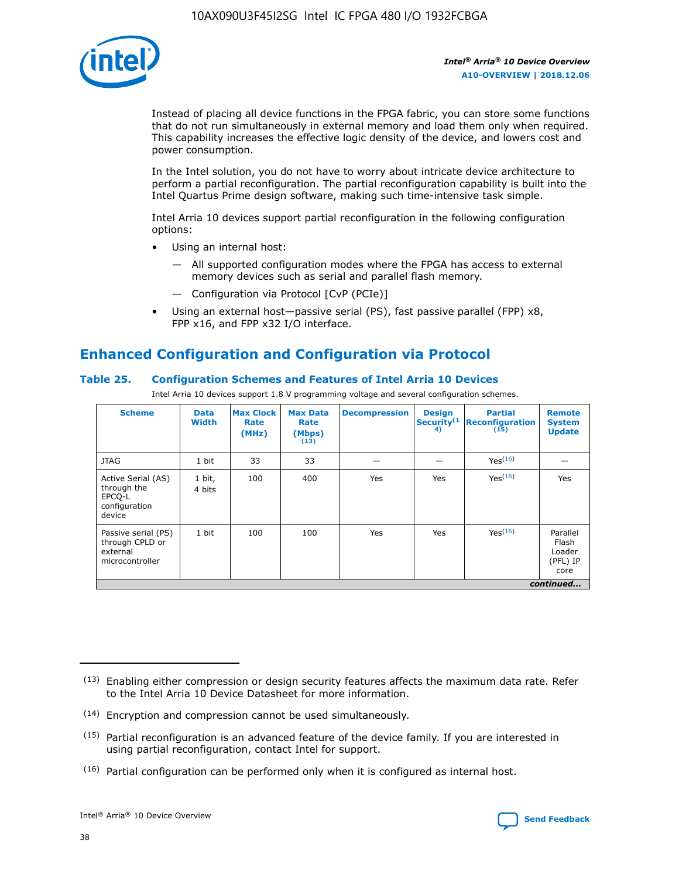

Instead of placing all device functions in the FPGA fabric, you can store some functions that do not run simultaneously in external memory and load them only when required. This capability increases the effective logic density of the device, and lowers cost and power consumption.

In the Intel solution, you do not have to worry about intricate device architecture to perform a partial reconfiguration. The partial reconfiguration capability is built into the Intel Quartus Prime design software, making such time-intensive task simple.

Intel Arria 10 devices support partial reconfiguration in the following configuration options:

- Using an internal host:
	- All supported configuration modes where the FPGA has access to external memory devices such as serial and parallel flash memory.
	- Configuration via Protocol [CvP (PCIe)]
- Using an external host—passive serial (PS), fast passive parallel (FPP) x8, FPP x16, and FPP x32 I/O interface.

# **Enhanced Configuration and Configuration via Protocol**

## **Table 25. Configuration Schemes and Features of Intel Arria 10 Devices**

Intel Arria 10 devices support 1.8 V programming voltage and several configuration schemes.

| <b>Scheme</b>                                                          | <b>Data</b><br><b>Width</b> | <b>Max Clock</b><br>Rate<br>(MHz) | <b>Max Data</b><br>Rate<br>(Mbps)<br>(13) | <b>Decompression</b> | <b>Design</b><br>Security <sup>(1</sup><br>4) | <b>Partial</b><br>Reconfiguration<br>(15) | <b>Remote</b><br><b>System</b><br><b>Update</b> |
|------------------------------------------------------------------------|-----------------------------|-----------------------------------|-------------------------------------------|----------------------|-----------------------------------------------|-------------------------------------------|-------------------------------------------------|
| <b>JTAG</b>                                                            | 1 bit                       | 33                                | 33                                        |                      |                                               | Yes(16)                                   |                                                 |
| Active Serial (AS)<br>through the<br>EPCO-L<br>configuration<br>device | 1 bit,<br>4 bits            | 100                               | 400                                       | Yes                  | Yes                                           | Yes(16)                                   | Yes                                             |
| Passive serial (PS)<br>through CPLD or<br>external<br>microcontroller  | 1 bit                       | 100                               | 100                                       | Yes                  | Yes                                           | Yes <sup>(16)</sup>                       | Parallel<br>Flash<br>Loader<br>(PFL) IP<br>core |
|                                                                        | continued                   |                                   |                                           |                      |                                               |                                           |                                                 |

<sup>(13)</sup> Enabling either compression or design security features affects the maximum data rate. Refer to the Intel Arria 10 Device Datasheet for more information.

<sup>(14)</sup> Encryption and compression cannot be used simultaneously.

 $(15)$  Partial reconfiguration is an advanced feature of the device family. If you are interested in using partial reconfiguration, contact Intel for support.

 $(16)$  Partial configuration can be performed only when it is configured as internal host.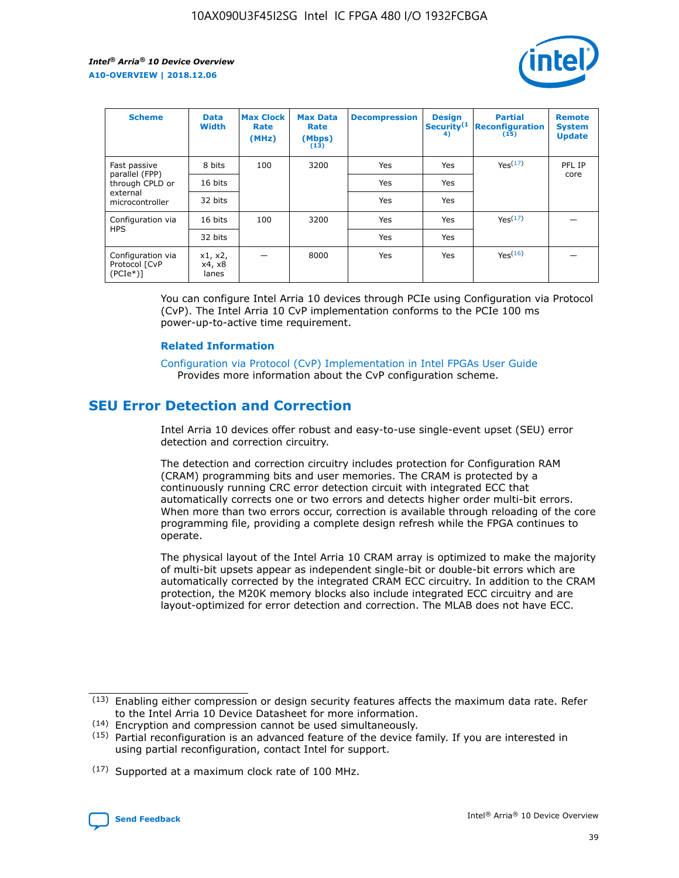

| <b>Scheme</b>                                   | <b>Data</b><br><b>Width</b> | <b>Max Clock</b><br>Rate<br>(MHz) | <b>Max Data</b><br>Rate<br>(Mbps)<br>(13) | <b>Decompression</b> | <b>Design</b><br>Security <sup>(1</sup><br>4) | <b>Partial</b><br><b>Reconfiguration</b><br>(15) | <b>Remote</b><br><b>System</b><br><b>Update</b> |
|-------------------------------------------------|-----------------------------|-----------------------------------|-------------------------------------------|----------------------|-----------------------------------------------|--------------------------------------------------|-------------------------------------------------|
| Fast passive                                    | 8 bits                      | 100                               | 3200                                      | Yes                  | Yes                                           | Yes <sup>(17)</sup>                              | PFL IP                                          |
| parallel (FPP)<br>through CPLD or               | 16 bits                     |                                   |                                           | Yes                  | Yes                                           |                                                  | core                                            |
| external<br>microcontroller                     | 32 bits                     |                                   |                                           | Yes                  | Yes                                           |                                                  |                                                 |
| Configuration via                               | 16 bits                     | 100                               | 3200                                      | Yes                  | Yes                                           | Yes <sup>(17)</sup>                              |                                                 |
| <b>HPS</b>                                      | 32 bits                     |                                   |                                           | Yes                  | Yes                                           |                                                  |                                                 |
| Configuration via<br>Protocol [CvP<br>$(PCIe*)$ | x1, x2,<br>x4, x8<br>lanes  |                                   | 8000                                      | Yes                  | Yes                                           | Yes <sup>(16)</sup>                              |                                                 |

You can configure Intel Arria 10 devices through PCIe using Configuration via Protocol (CvP). The Intel Arria 10 CvP implementation conforms to the PCIe 100 ms power-up-to-active time requirement.

#### **Related Information**

[Configuration via Protocol \(CvP\) Implementation in Intel FPGAs User Guide](https://www.intel.com/content/www/us/en/programmable/documentation/dsu1441819344145.html#dsu1442269728522) Provides more information about the CvP configuration scheme.

## **SEU Error Detection and Correction**

Intel Arria 10 devices offer robust and easy-to-use single-event upset (SEU) error detection and correction circuitry.

The detection and correction circuitry includes protection for Configuration RAM (CRAM) programming bits and user memories. The CRAM is protected by a continuously running CRC error detection circuit with integrated ECC that automatically corrects one or two errors and detects higher order multi-bit errors. When more than two errors occur, correction is available through reloading of the core programming file, providing a complete design refresh while the FPGA continues to operate.

The physical layout of the Intel Arria 10 CRAM array is optimized to make the majority of multi-bit upsets appear as independent single-bit or double-bit errors which are automatically corrected by the integrated CRAM ECC circuitry. In addition to the CRAM protection, the M20K memory blocks also include integrated ECC circuitry and are layout-optimized for error detection and correction. The MLAB does not have ECC.

(14) Encryption and compression cannot be used simultaneously.

<sup>(17)</sup> Supported at a maximum clock rate of 100 MHz.



 $(13)$  Enabling either compression or design security features affects the maximum data rate. Refer to the Intel Arria 10 Device Datasheet for more information.

 $(15)$  Partial reconfiguration is an advanced feature of the device family. If you are interested in using partial reconfiguration, contact Intel for support.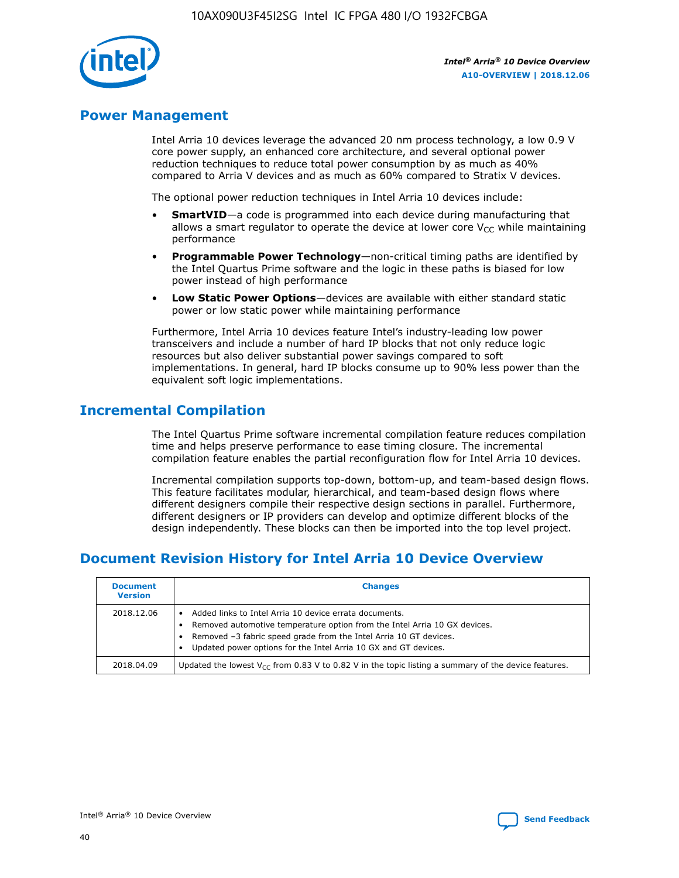

## **Power Management**

Intel Arria 10 devices leverage the advanced 20 nm process technology, a low 0.9 V core power supply, an enhanced core architecture, and several optional power reduction techniques to reduce total power consumption by as much as 40% compared to Arria V devices and as much as 60% compared to Stratix V devices.

The optional power reduction techniques in Intel Arria 10 devices include:

- **SmartVID**—a code is programmed into each device during manufacturing that allows a smart regulator to operate the device at lower core  $V_{CC}$  while maintaining performance
- **Programmable Power Technology**—non-critical timing paths are identified by the Intel Quartus Prime software and the logic in these paths is biased for low power instead of high performance
- **Low Static Power Options**—devices are available with either standard static power or low static power while maintaining performance

Furthermore, Intel Arria 10 devices feature Intel's industry-leading low power transceivers and include a number of hard IP blocks that not only reduce logic resources but also deliver substantial power savings compared to soft implementations. In general, hard IP blocks consume up to 90% less power than the equivalent soft logic implementations.

## **Incremental Compilation**

The Intel Quartus Prime software incremental compilation feature reduces compilation time and helps preserve performance to ease timing closure. The incremental compilation feature enables the partial reconfiguration flow for Intel Arria 10 devices.

Incremental compilation supports top-down, bottom-up, and team-based design flows. This feature facilitates modular, hierarchical, and team-based design flows where different designers compile their respective design sections in parallel. Furthermore, different designers or IP providers can develop and optimize different blocks of the design independently. These blocks can then be imported into the top level project.

# **Document Revision History for Intel Arria 10 Device Overview**

| <b>Document</b><br><b>Version</b> | <b>Changes</b>                                                                                                                                                                                                                                                              |
|-----------------------------------|-----------------------------------------------------------------------------------------------------------------------------------------------------------------------------------------------------------------------------------------------------------------------------|
| 2018.12.06                        | Added links to Intel Arria 10 device errata documents.<br>Removed automotive temperature option from the Intel Arria 10 GX devices.<br>Removed -3 fabric speed grade from the Intel Arria 10 GT devices.<br>Updated power options for the Intel Arria 10 GX and GT devices. |
| 2018.04.09                        | Updated the lowest $V_{CC}$ from 0.83 V to 0.82 V in the topic listing a summary of the device features.                                                                                                                                                                    |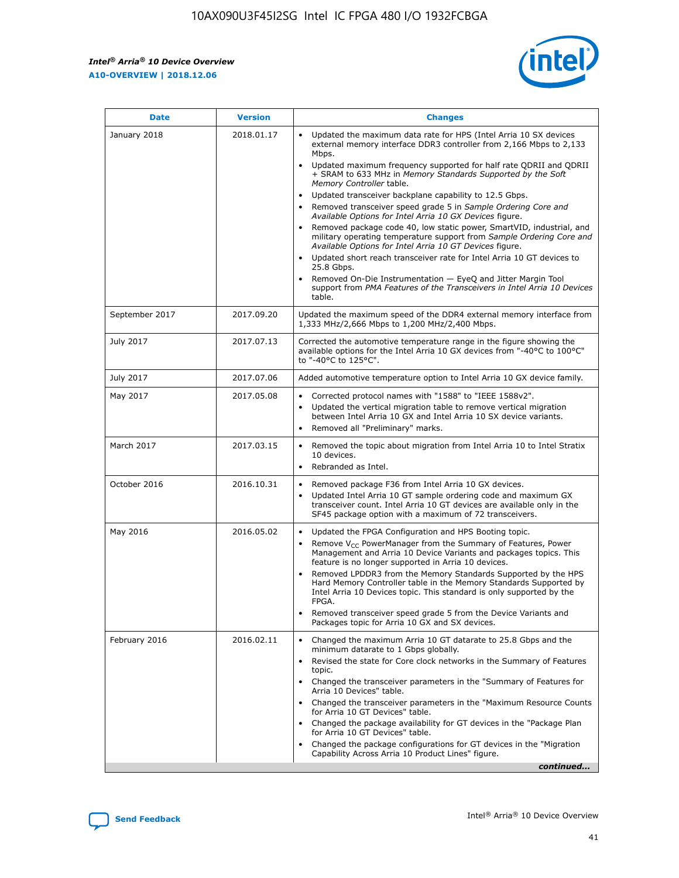*Intel® Arria® 10 Device Overview* **A10-OVERVIEW | 2018.12.06**



| <b>Date</b>    | <b>Version</b> | <b>Changes</b>                                                                                                                                                                                                                                                                                                                                                                                                                                                                                                                                                                                                                                                                                                                                                                                                                                                                                                                                                            |
|----------------|----------------|---------------------------------------------------------------------------------------------------------------------------------------------------------------------------------------------------------------------------------------------------------------------------------------------------------------------------------------------------------------------------------------------------------------------------------------------------------------------------------------------------------------------------------------------------------------------------------------------------------------------------------------------------------------------------------------------------------------------------------------------------------------------------------------------------------------------------------------------------------------------------------------------------------------------------------------------------------------------------|
| January 2018   | 2018.01.17     | Updated the maximum data rate for HPS (Intel Arria 10 SX devices<br>external memory interface DDR3 controller from 2,166 Mbps to 2,133<br>Mbps.<br>Updated maximum frequency supported for half rate QDRII and QDRII<br>+ SRAM to 633 MHz in Memory Standards Supported by the Soft<br>Memory Controller table.<br>Updated transceiver backplane capability to 12.5 Gbps.<br>$\bullet$<br>Removed transceiver speed grade 5 in Sample Ordering Core and<br>Available Options for Intel Arria 10 GX Devices figure.<br>Removed package code 40, low static power, SmartVID, industrial, and<br>military operating temperature support from Sample Ordering Core and<br>Available Options for Intel Arria 10 GT Devices figure.<br>Updated short reach transceiver rate for Intel Arria 10 GT devices to<br>25.8 Gbps.<br>Removed On-Die Instrumentation - EyeQ and Jitter Margin Tool<br>support from PMA Features of the Transceivers in Intel Arria 10 Devices<br>table. |
| September 2017 | 2017.09.20     | Updated the maximum speed of the DDR4 external memory interface from<br>1,333 MHz/2,666 Mbps to 1,200 MHz/2,400 Mbps.                                                                                                                                                                                                                                                                                                                                                                                                                                                                                                                                                                                                                                                                                                                                                                                                                                                     |
| July 2017      | 2017.07.13     | Corrected the automotive temperature range in the figure showing the<br>available options for the Intel Arria 10 GX devices from "-40°C to 100°C"<br>to "-40°C to 125°C".                                                                                                                                                                                                                                                                                                                                                                                                                                                                                                                                                                                                                                                                                                                                                                                                 |
| July 2017      | 2017.07.06     | Added automotive temperature option to Intel Arria 10 GX device family.                                                                                                                                                                                                                                                                                                                                                                                                                                                                                                                                                                                                                                                                                                                                                                                                                                                                                                   |
| May 2017       | 2017.05.08     | Corrected protocol names with "1588" to "IEEE 1588v2".<br>Updated the vertical migration table to remove vertical migration<br>between Intel Arria 10 GX and Intel Arria 10 SX device variants.<br>Removed all "Preliminary" marks.                                                                                                                                                                                                                                                                                                                                                                                                                                                                                                                                                                                                                                                                                                                                       |
| March 2017     | 2017.03.15     | Removed the topic about migration from Intel Arria 10 to Intel Stratix<br>10 devices.<br>Rebranded as Intel.<br>$\bullet$                                                                                                                                                                                                                                                                                                                                                                                                                                                                                                                                                                                                                                                                                                                                                                                                                                                 |
| October 2016   | 2016.10.31     | Removed package F36 from Intel Arria 10 GX devices.<br>Updated Intel Arria 10 GT sample ordering code and maximum GX<br>$\bullet$<br>transceiver count. Intel Arria 10 GT devices are available only in the<br>SF45 package option with a maximum of 72 transceivers.                                                                                                                                                                                                                                                                                                                                                                                                                                                                                                                                                                                                                                                                                                     |
| May 2016       | 2016.05.02     | Updated the FPGA Configuration and HPS Booting topic.<br>Remove V <sub>CC</sub> PowerManager from the Summary of Features, Power<br>Management and Arria 10 Device Variants and packages topics. This<br>feature is no longer supported in Arria 10 devices.<br>Removed LPDDR3 from the Memory Standards Supported by the HPS<br>Hard Memory Controller table in the Memory Standards Supported by<br>Intel Arria 10 Devices topic. This standard is only supported by the<br>FPGA.<br>Removed transceiver speed grade 5 from the Device Variants and<br>Packages topic for Arria 10 GX and SX devices.                                                                                                                                                                                                                                                                                                                                                                   |
| February 2016  | 2016.02.11     | Changed the maximum Arria 10 GT datarate to 25.8 Gbps and the<br>minimum datarate to 1 Gbps globally.<br>Revised the state for Core clock networks in the Summary of Features<br>$\bullet$<br>topic.<br>Changed the transceiver parameters in the "Summary of Features for<br>Arria 10 Devices" table.<br>• Changed the transceiver parameters in the "Maximum Resource Counts<br>for Arria 10 GT Devices" table.<br>• Changed the package availability for GT devices in the "Package Plan<br>for Arria 10 GT Devices" table.<br>Changed the package configurations for GT devices in the "Migration"<br>Capability Across Arria 10 Product Lines" figure.<br>continued                                                                                                                                                                                                                                                                                                  |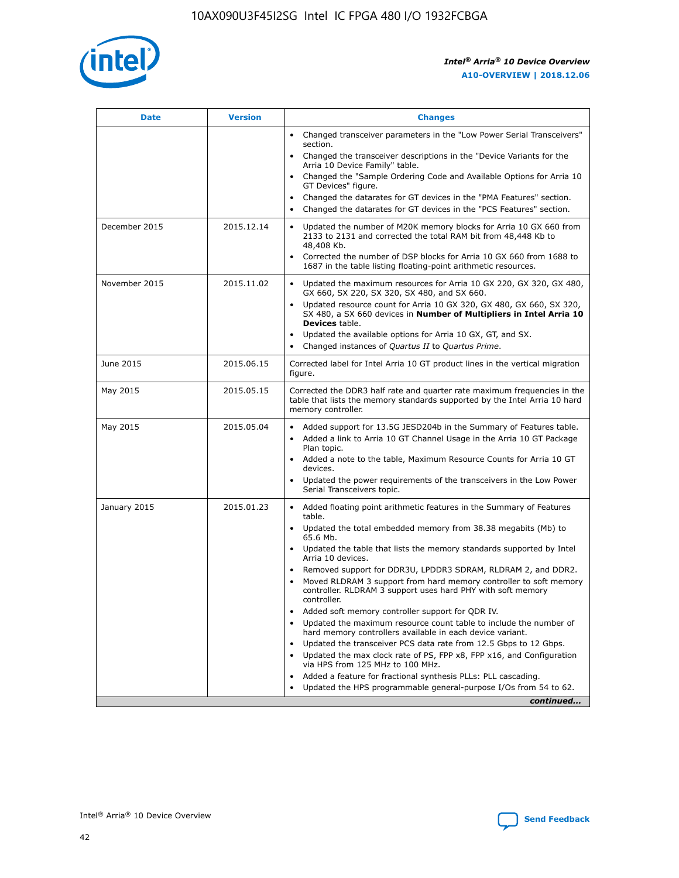

| <b>Date</b>   | <b>Version</b> | <b>Changes</b>                                                                                                                                                               |
|---------------|----------------|------------------------------------------------------------------------------------------------------------------------------------------------------------------------------|
|               |                | • Changed transceiver parameters in the "Low Power Serial Transceivers"<br>section.                                                                                          |
|               |                | • Changed the transceiver descriptions in the "Device Variants for the<br>Arria 10 Device Family" table.                                                                     |
|               |                | Changed the "Sample Ordering Code and Available Options for Arria 10<br>$\bullet$<br>GT Devices" figure.                                                                     |
|               |                | Changed the datarates for GT devices in the "PMA Features" section.                                                                                                          |
|               |                | Changed the datarates for GT devices in the "PCS Features" section.<br>$\bullet$                                                                                             |
| December 2015 | 2015.12.14     | Updated the number of M20K memory blocks for Arria 10 GX 660 from<br>2133 to 2131 and corrected the total RAM bit from 48,448 Kb to<br>48,408 Kb.                            |
|               |                | Corrected the number of DSP blocks for Arria 10 GX 660 from 1688 to<br>1687 in the table listing floating-point arithmetic resources.                                        |
| November 2015 | 2015.11.02     | Updated the maximum resources for Arria 10 GX 220, GX 320, GX 480,<br>$\bullet$<br>GX 660, SX 220, SX 320, SX 480, and SX 660.                                               |
|               |                | • Updated resource count for Arria 10 GX 320, GX 480, GX 660, SX 320,<br>SX 480, a SX 660 devices in Number of Multipliers in Intel Arria 10<br><b>Devices</b> table.        |
|               |                | Updated the available options for Arria 10 GX, GT, and SX.                                                                                                                   |
|               |                | Changed instances of Quartus II to Quartus Prime.<br>$\bullet$                                                                                                               |
| June 2015     | 2015.06.15     | Corrected label for Intel Arria 10 GT product lines in the vertical migration<br>figure.                                                                                     |
| May 2015      | 2015.05.15     | Corrected the DDR3 half rate and quarter rate maximum frequencies in the<br>table that lists the memory standards supported by the Intel Arria 10 hard<br>memory controller. |
| May 2015      | 2015.05.04     | • Added support for 13.5G JESD204b in the Summary of Features table.                                                                                                         |
|               |                | • Added a link to Arria 10 GT Channel Usage in the Arria 10 GT Package<br>Plan topic.                                                                                        |
|               |                | • Added a note to the table, Maximum Resource Counts for Arria 10 GT<br>devices.                                                                                             |
|               |                | • Updated the power requirements of the transceivers in the Low Power<br>Serial Transceivers topic.                                                                          |
| January 2015  | 2015.01.23     | • Added floating point arithmetic features in the Summary of Features<br>table.                                                                                              |
|               |                | • Updated the total embedded memory from 38.38 megabits (Mb) to<br>65.6 Mb.                                                                                                  |
|               |                | • Updated the table that lists the memory standards supported by Intel<br>Arria 10 devices.                                                                                  |
|               |                | Removed support for DDR3U, LPDDR3 SDRAM, RLDRAM 2, and DDR2.                                                                                                                 |
|               |                | Moved RLDRAM 3 support from hard memory controller to soft memory<br>controller. RLDRAM 3 support uses hard PHY with soft memory<br>controller.                              |
|               |                | Added soft memory controller support for QDR IV.<br>٠                                                                                                                        |
|               |                | Updated the maximum resource count table to include the number of<br>hard memory controllers available in each device variant.                                               |
|               |                | Updated the transceiver PCS data rate from 12.5 Gbps to 12 Gbps.<br>$\bullet$                                                                                                |
|               |                | Updated the max clock rate of PS, FPP x8, FPP x16, and Configuration<br>via HPS from 125 MHz to 100 MHz.                                                                     |
|               |                | Added a feature for fractional synthesis PLLs: PLL cascading.                                                                                                                |
|               |                | Updated the HPS programmable general-purpose I/Os from 54 to 62.<br>$\bullet$                                                                                                |
|               |                | continued                                                                                                                                                                    |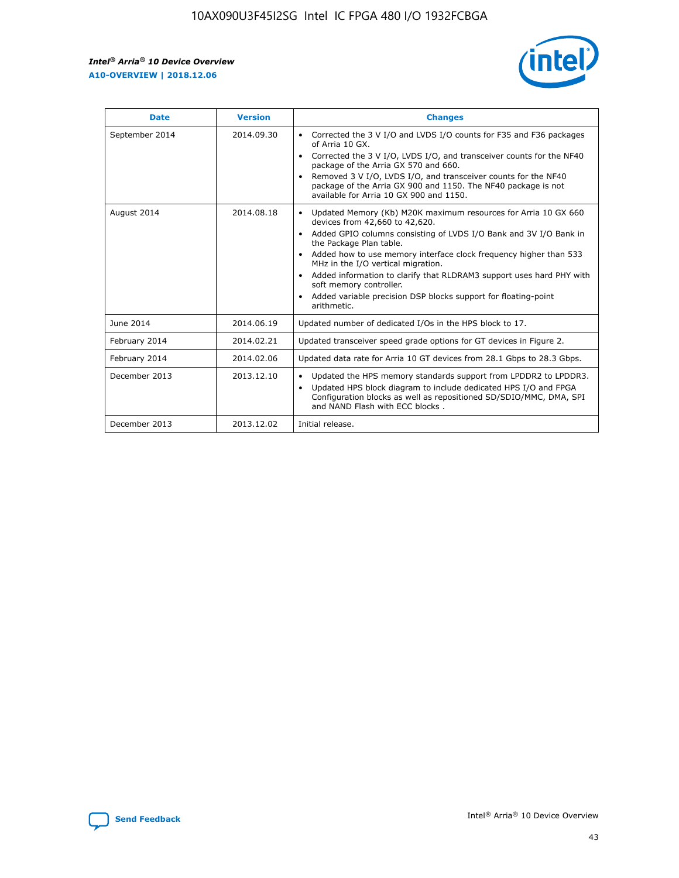r



| <b>Date</b>    | <b>Version</b> | <b>Changes</b>                                                                                                                                                                                                                                                                                                                                                                                                                                                                                                                                      |
|----------------|----------------|-----------------------------------------------------------------------------------------------------------------------------------------------------------------------------------------------------------------------------------------------------------------------------------------------------------------------------------------------------------------------------------------------------------------------------------------------------------------------------------------------------------------------------------------------------|
| September 2014 | 2014.09.30     | Corrected the 3 V I/O and LVDS I/O counts for F35 and F36 packages<br>$\bullet$<br>of Arria 10 GX.<br>Corrected the 3 V I/O, LVDS I/O, and transceiver counts for the NF40<br>$\bullet$<br>package of the Arria GX 570 and 660.<br>Removed 3 V I/O, LVDS I/O, and transceiver counts for the NF40<br>package of the Arria GX 900 and 1150. The NF40 package is not<br>available for Arria 10 GX 900 and 1150.                                                                                                                                       |
| August 2014    | 2014.08.18     | Updated Memory (Kb) M20K maximum resources for Arria 10 GX 660<br>devices from 42,660 to 42,620.<br>Added GPIO columns consisting of LVDS I/O Bank and 3V I/O Bank in<br>$\bullet$<br>the Package Plan table.<br>Added how to use memory interface clock frequency higher than 533<br>$\bullet$<br>MHz in the I/O vertical migration.<br>Added information to clarify that RLDRAM3 support uses hard PHY with<br>$\bullet$<br>soft memory controller.<br>Added variable precision DSP blocks support for floating-point<br>$\bullet$<br>arithmetic. |
| June 2014      | 2014.06.19     | Updated number of dedicated I/Os in the HPS block to 17.                                                                                                                                                                                                                                                                                                                                                                                                                                                                                            |
| February 2014  | 2014.02.21     | Updated transceiver speed grade options for GT devices in Figure 2.                                                                                                                                                                                                                                                                                                                                                                                                                                                                                 |
| February 2014  | 2014.02.06     | Updated data rate for Arria 10 GT devices from 28.1 Gbps to 28.3 Gbps.                                                                                                                                                                                                                                                                                                                                                                                                                                                                              |
| December 2013  | 2013.12.10     | Updated the HPS memory standards support from LPDDR2 to LPDDR3.<br>Updated HPS block diagram to include dedicated HPS I/O and FPGA<br>$\bullet$<br>Configuration blocks as well as repositioned SD/SDIO/MMC, DMA, SPI<br>and NAND Flash with ECC blocks.                                                                                                                                                                                                                                                                                            |
| December 2013  | 2013.12.02     | Initial release.                                                                                                                                                                                                                                                                                                                                                                                                                                                                                                                                    |